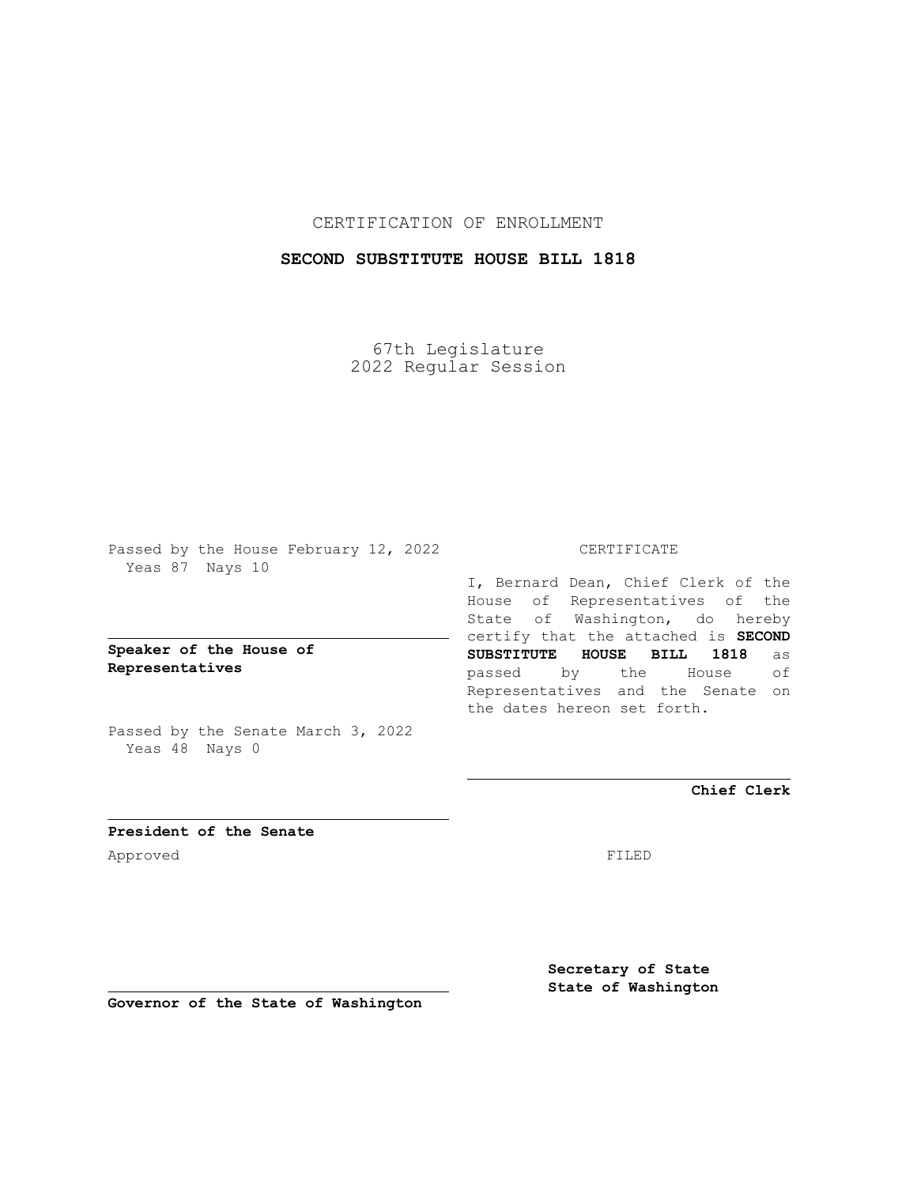CERTIFICATION OF ENROLLMENT

## **SECOND SUBSTITUTE HOUSE BILL 1818**

67th Legislature 2022 Regular Session

Passed by the House February 12, 2022 Yeas 87 Nays 10

**Speaker of the House of Representatives**

Passed by the Senate March 3, 2022 Yeas 48 Nays 0

## CERTIFICATE

I, Bernard Dean, Chief Clerk of the House of Representatives of the State of Washington, do hereby certify that the attached is **SECOND SUBSTITUTE HOUSE BILL 1818** as passed by the House of Representatives and the Senate on the dates hereon set forth.

**Chief Clerk**

**President of the Senate** Approved FILED

**Secretary of State State of Washington**

**Governor of the State of Washington**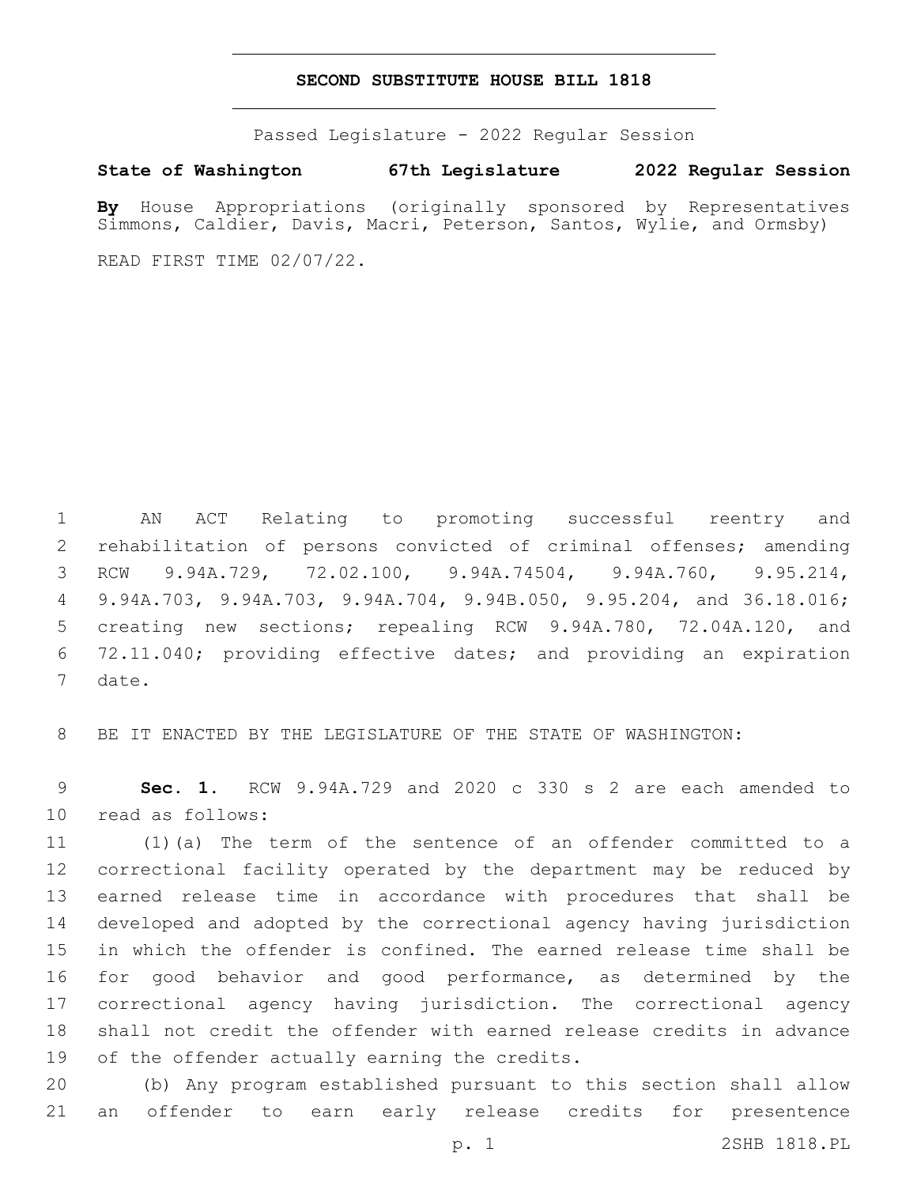## **SECOND SUBSTITUTE HOUSE BILL 1818**

Passed Legislature - 2022 Regular Session

**State of Washington 67th Legislature 2022 Regular Session**

**By** House Appropriations (originally sponsored by Representatives Simmons, Caldier, Davis, Macri, Peterson, Santos, Wylie, and Ormsby)

READ FIRST TIME 02/07/22.

 AN ACT Relating to promoting successful reentry and rehabilitation of persons convicted of criminal offenses; amending RCW 9.94A.729, 72.02.100, 9.94A.74504, 9.94A.760, 9.95.214, 9.94A.703, 9.94A.703, 9.94A.704, 9.94B.050, 9.95.204, and 36.18.016; creating new sections; repealing RCW 9.94A.780, 72.04A.120, and 72.11.040; providing effective dates; and providing an expiration 7 date.

BE IT ENACTED BY THE LEGISLATURE OF THE STATE OF WASHINGTON:

 **Sec. 1.** RCW 9.94A.729 and 2020 c 330 s 2 are each amended to 10 read as follows:

 (1)(a) The term of the sentence of an offender committed to a correctional facility operated by the department may be reduced by earned release time in accordance with procedures that shall be developed and adopted by the correctional agency having jurisdiction in which the offender is confined. The earned release time shall be for good behavior and good performance, as determined by the correctional agency having jurisdiction. The correctional agency shall not credit the offender with earned release credits in advance 19 of the offender actually earning the credits.

 (b) Any program established pursuant to this section shall allow an offender to earn early release credits for presentence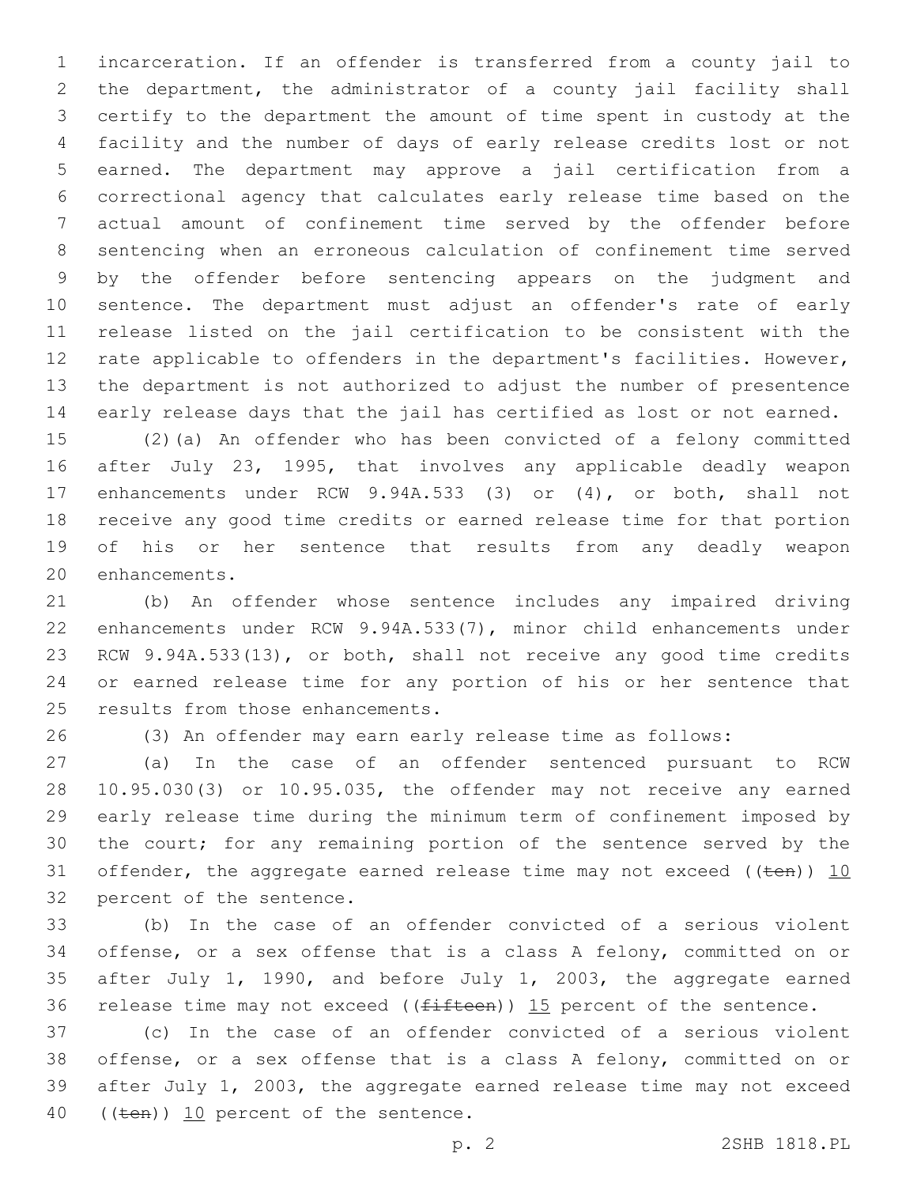incarceration. If an offender is transferred from a county jail to the department, the administrator of a county jail facility shall certify to the department the amount of time spent in custody at the facility and the number of days of early release credits lost or not earned. The department may approve a jail certification from a correctional agency that calculates early release time based on the actual amount of confinement time served by the offender before sentencing when an erroneous calculation of confinement time served by the offender before sentencing appears on the judgment and sentence. The department must adjust an offender's rate of early release listed on the jail certification to be consistent with the rate applicable to offenders in the department's facilities. However, the department is not authorized to adjust the number of presentence early release days that the jail has certified as lost or not earned.

 (2)(a) An offender who has been convicted of a felony committed after July 23, 1995, that involves any applicable deadly weapon enhancements under RCW 9.94A.533 (3) or (4), or both, shall not receive any good time credits or earned release time for that portion of his or her sentence that results from any deadly weapon 20 enhancements.

 (b) An offender whose sentence includes any impaired driving enhancements under RCW 9.94A.533(7), minor child enhancements under RCW 9.94A.533(13), or both, shall not receive any good time credits or earned release time for any portion of his or her sentence that 25 results from those enhancements.

(3) An offender may earn early release time as follows:

 (a) In the case of an offender sentenced pursuant to RCW 10.95.030(3) or 10.95.035, the offender may not receive any earned early release time during the minimum term of confinement imposed by the court; for any remaining portion of the sentence served by the 31 offender, the aggregate earned release time may not exceed ( $(\text{ten})$ ) 10 32 percent of the sentence.

 (b) In the case of an offender convicted of a serious violent offense, or a sex offense that is a class A felony, committed on or after July 1, 1990, and before July 1, 2003, the aggregate earned 36 release time may not exceed ( $(f\text{ifteen})$ ) 15 percent of the sentence.

 (c) In the case of an offender convicted of a serious violent offense, or a sex offense that is a class A felony, committed on or after July 1, 2003, the aggregate earned release time may not exceed 40 ((ten)) 10 percent of the sentence.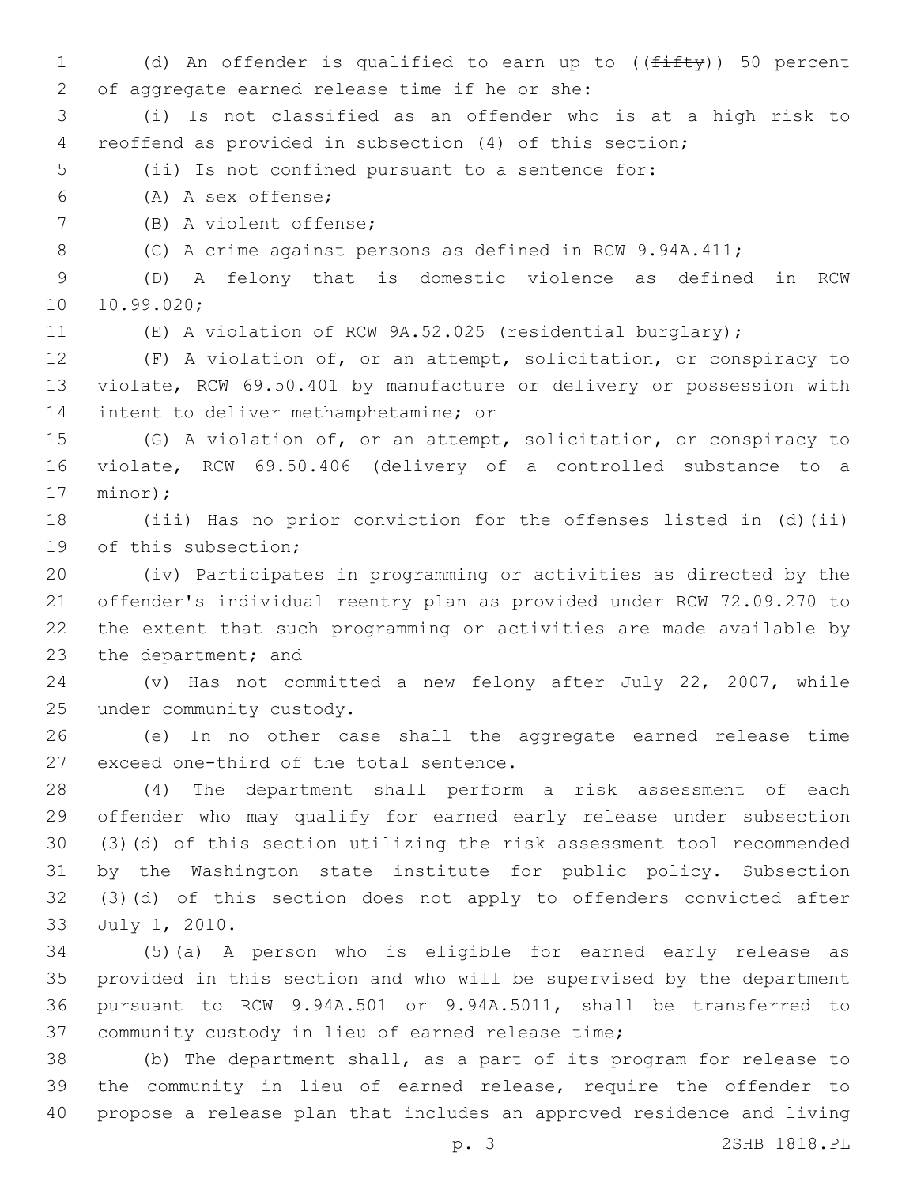1 (d) An offender is qualified to earn up to (( $f$ ifty)) 50 percent 2 of aggregate earned release time if he or she: (i) Is not classified as an offender who is at a high risk to reoffend as provided in subsection (4) of this section; (ii) Is not confined pursuant to a sentence for: (A) A sex offense;6 7 (B) A violent offense; (C) A crime against persons as defined in RCW 9.94A.411; (D) A felony that is domestic violence as defined in RCW 10.99.020; (E) A violation of RCW 9A.52.025 (residential burglary); (F) A violation of, or an attempt, solicitation, or conspiracy to violate, RCW 69.50.401 by manufacture or delivery or possession with 14 intent to deliver methamphetamine; or (G) A violation of, or an attempt, solicitation, or conspiracy to violate, RCW 69.50.406 (delivery of a controlled substance to a 17 minor); (iii) Has no prior conviction for the offenses listed in (d)(ii) 19 of this subsection; (iv) Participates in programming or activities as directed by the offender's individual reentry plan as provided under RCW 72.09.270 to the extent that such programming or activities are made available by 23 the department; and (v) Has not committed a new felony after July 22, 2007, while 25 under community custody. (e) In no other case shall the aggregate earned release time 27 exceed one-third of the total sentence. (4) The department shall perform a risk assessment of each offender who may qualify for earned early release under subsection (3)(d) of this section utilizing the risk assessment tool recommended by the Washington state institute for public policy. Subsection (3)(d) of this section does not apply to offenders convicted after 33 July 1, 2010. (5)(a) A person who is eligible for earned early release as provided in this section and who will be supervised by the department pursuant to RCW 9.94A.501 or 9.94A.5011, shall be transferred to 37 community custody in lieu of earned release time; (b) The department shall, as a part of its program for release to the community in lieu of earned release, require the offender to propose a release plan that includes an approved residence and living p. 3 2SHB 1818.PL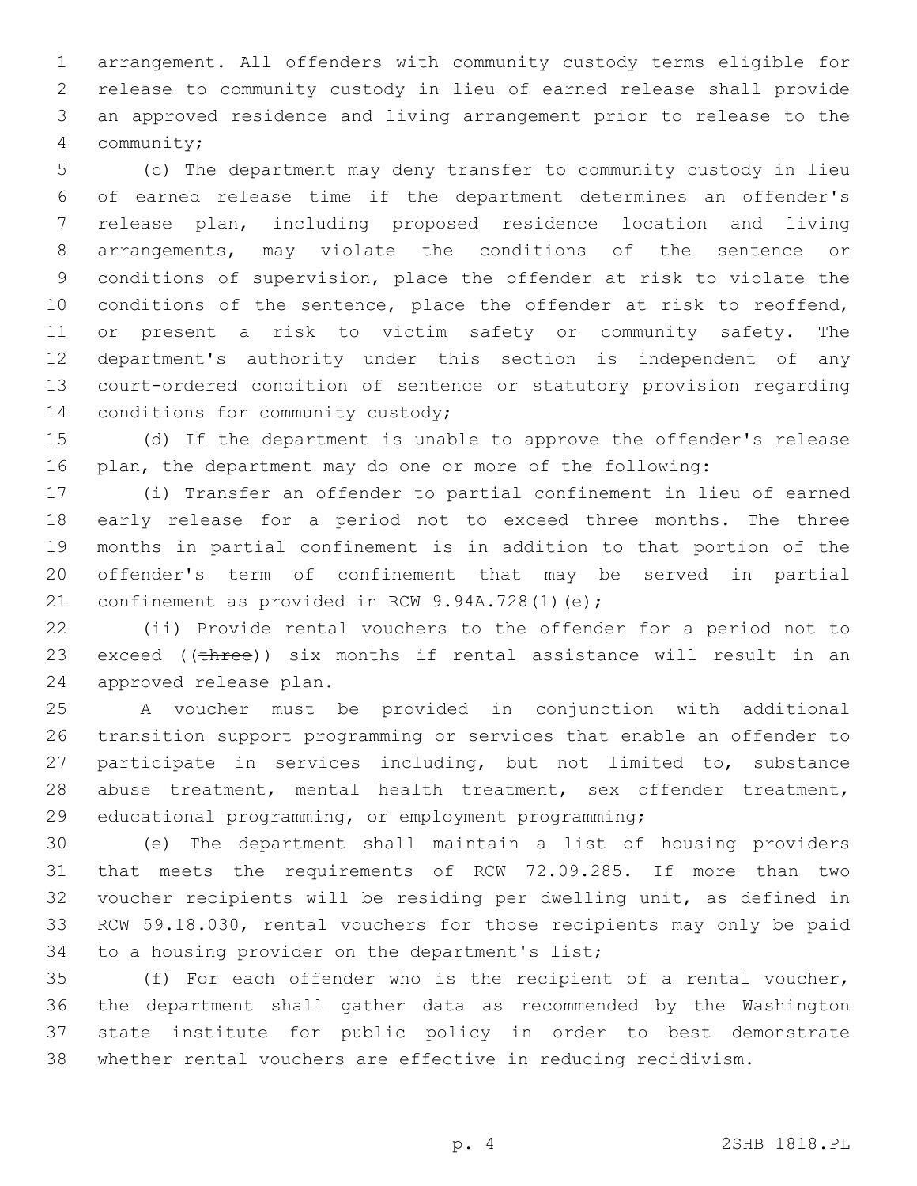arrangement. All offenders with community custody terms eligible for release to community custody in lieu of earned release shall provide an approved residence and living arrangement prior to release to the community;4

 (c) The department may deny transfer to community custody in lieu of earned release time if the department determines an offender's release plan, including proposed residence location and living arrangements, may violate the conditions of the sentence or conditions of supervision, place the offender at risk to violate the conditions of the sentence, place the offender at risk to reoffend, or present a risk to victim safety or community safety. The department's authority under this section is independent of any court-ordered condition of sentence or statutory provision regarding 14 conditions for community custody;

 (d) If the department is unable to approve the offender's release plan, the department may do one or more of the following:

 (i) Transfer an offender to partial confinement in lieu of earned early release for a period not to exceed three months. The three months in partial confinement is in addition to that portion of the offender's term of confinement that may be served in partial 21 confinement as provided in RCW  $9.94A.728(1)(e)$ ;

 (ii) Provide rental vouchers to the offender for a period not to 23 exceed (( $t$ hree))  $six$  months if rental assistance will result in an 24 approved release plan.

 A voucher must be provided in conjunction with additional transition support programming or services that enable an offender to participate in services including, but not limited to, substance abuse treatment, mental health treatment, sex offender treatment, educational programming, or employment programming;

 (e) The department shall maintain a list of housing providers that meets the requirements of RCW 72.09.285. If more than two voucher recipients will be residing per dwelling unit, as defined in RCW 59.18.030, rental vouchers for those recipients may only be paid 34 to a housing provider on the department's list;

 (f) For each offender who is the recipient of a rental voucher, the department shall gather data as recommended by the Washington state institute for public policy in order to best demonstrate whether rental vouchers are effective in reducing recidivism.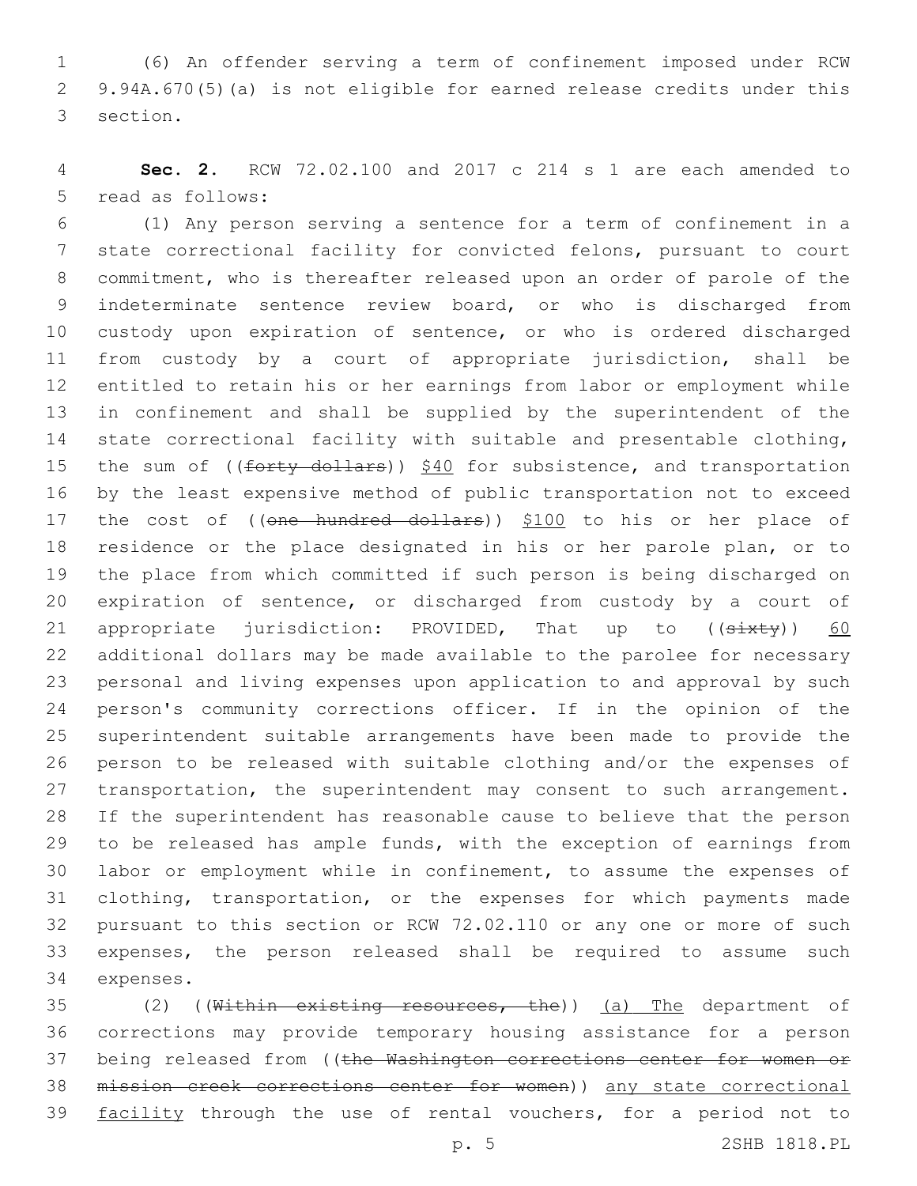(6) An offender serving a term of confinement imposed under RCW 9.94A.670(5)(a) is not eligible for earned release credits under this 3 section.

 **Sec. 2.** RCW 72.02.100 and 2017 c 214 s 1 are each amended to 5 read as follows:

 (1) Any person serving a sentence for a term of confinement in a state correctional facility for convicted felons, pursuant to court commitment, who is thereafter released upon an order of parole of the indeterminate sentence review board, or who is discharged from custody upon expiration of sentence, or who is ordered discharged from custody by a court of appropriate jurisdiction, shall be entitled to retain his or her earnings from labor or employment while in confinement and shall be supplied by the superintendent of the state correctional facility with suitable and presentable clothing, 15 the sum of ((forty dollars)) \$40 for subsistence, and transportation by the least expensive method of public transportation not to exceed 17 the cost of ((one hundred dollars)) \$100 to his or her place of residence or the place designated in his or her parole plan, or to the place from which committed if such person is being discharged on expiration of sentence, or discharged from custody by a court of 21 appropriate jurisdiction: PROVIDED, That up to  $((sixty))$  60 additional dollars may be made available to the parolee for necessary personal and living expenses upon application to and approval by such person's community corrections officer. If in the opinion of the superintendent suitable arrangements have been made to provide the person to be released with suitable clothing and/or the expenses of 27 transportation, the superintendent may consent to such arrangement. If the superintendent has reasonable cause to believe that the person to be released has ample funds, with the exception of earnings from labor or employment while in confinement, to assume the expenses of clothing, transportation, or the expenses for which payments made pursuant to this section or RCW 72.02.110 or any one or more of such expenses, the person released shall be required to assume such 34 expenses.

35 (2) ((Within existing resources, the)) (a) The department of corrections may provide temporary housing assistance for a person 37 being released from ((the Washington corrections center for women or mission creek corrections center for women)) any state correctional 39 facility through the use of rental vouchers, for a period not to

p. 5 2SHB 1818.PL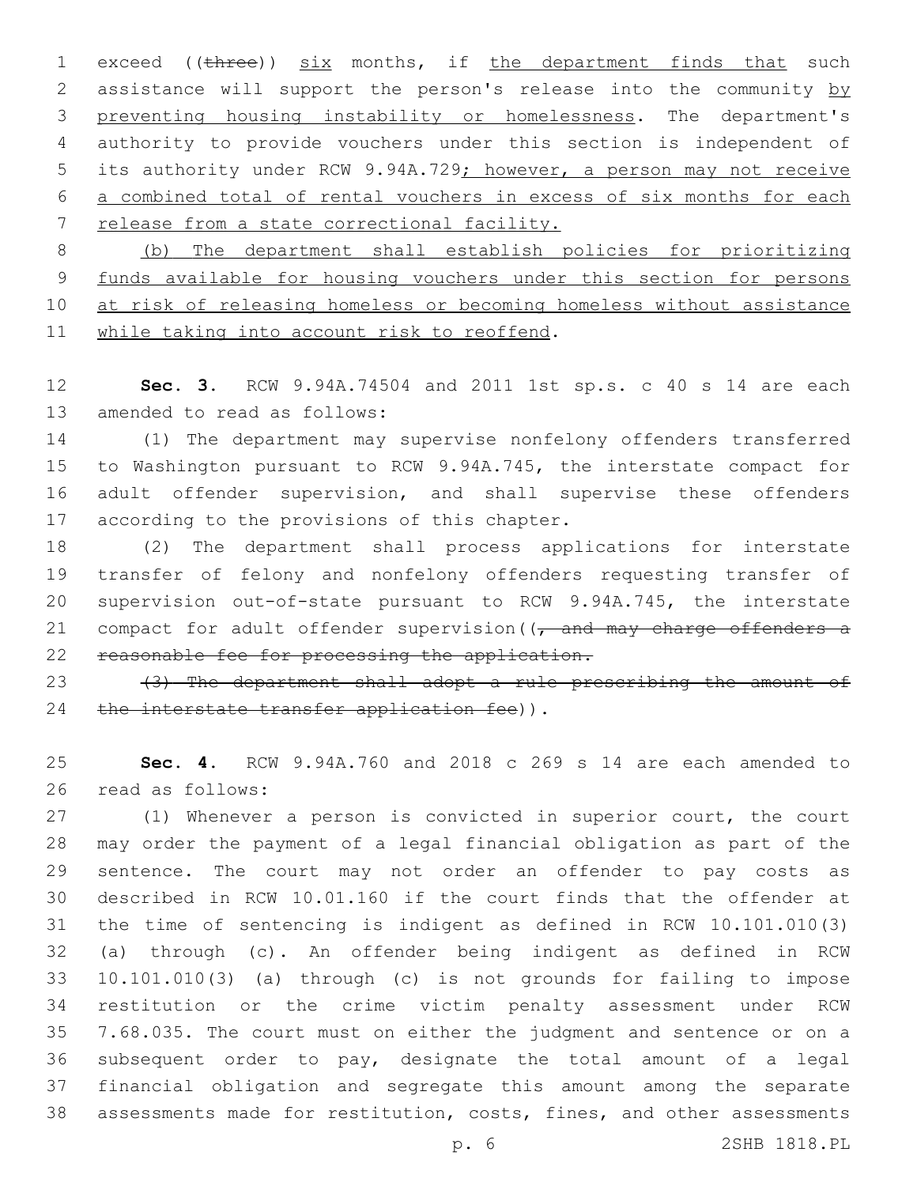1 exceed ((three)) six months, if the department finds that such 2 assistance will support the person's release into the community by preventing housing instability or homelessness. The department's authority to provide vouchers under this section is independent of 5 its authority under RCW 9.94A.729; however, a person may not receive a combined total of rental vouchers in excess of six months for each release from a state correctional facility.

 (b) The department shall establish policies for prioritizing funds available for housing vouchers under this section for persons 10 at risk of releasing homeless or becoming homeless without assistance 11 while taking into account risk to reoffend.

 **Sec. 3.** RCW 9.94A.74504 and 2011 1st sp.s. c 40 s 14 are each 13 amended to read as follows:

 (1) The department may supervise nonfelony offenders transferred to Washington pursuant to RCW 9.94A.745, the interstate compact for adult offender supervision, and shall supervise these offenders 17 according to the provisions of this chapter.

 (2) The department shall process applications for interstate transfer of felony and nonfelony offenders requesting transfer of supervision out-of-state pursuant to RCW 9.94A.745, the interstate 21 compact for adult offender supervision  $\left(\frac{1}{t}\right)$  and may charge offenders a reasonable fee for processing the application.

23  $(3)$  The department shall adopt a rule prescribing the amount of 24 the interstate transfer application fee)).

 **Sec. 4.** RCW 9.94A.760 and 2018 c 269 s 14 are each amended to 26 read as follows:

 (1) Whenever a person is convicted in superior court, the court may order the payment of a legal financial obligation as part of the sentence. The court may not order an offender to pay costs as described in RCW 10.01.160 if the court finds that the offender at the time of sentencing is indigent as defined in RCW 10.101.010(3) (a) through (c). An offender being indigent as defined in RCW 10.101.010(3) (a) through (c) is not grounds for failing to impose restitution or the crime victim penalty assessment under RCW 7.68.035. The court must on either the judgment and sentence or on a subsequent order to pay, designate the total amount of a legal financial obligation and segregate this amount among the separate assessments made for restitution, costs, fines, and other assessments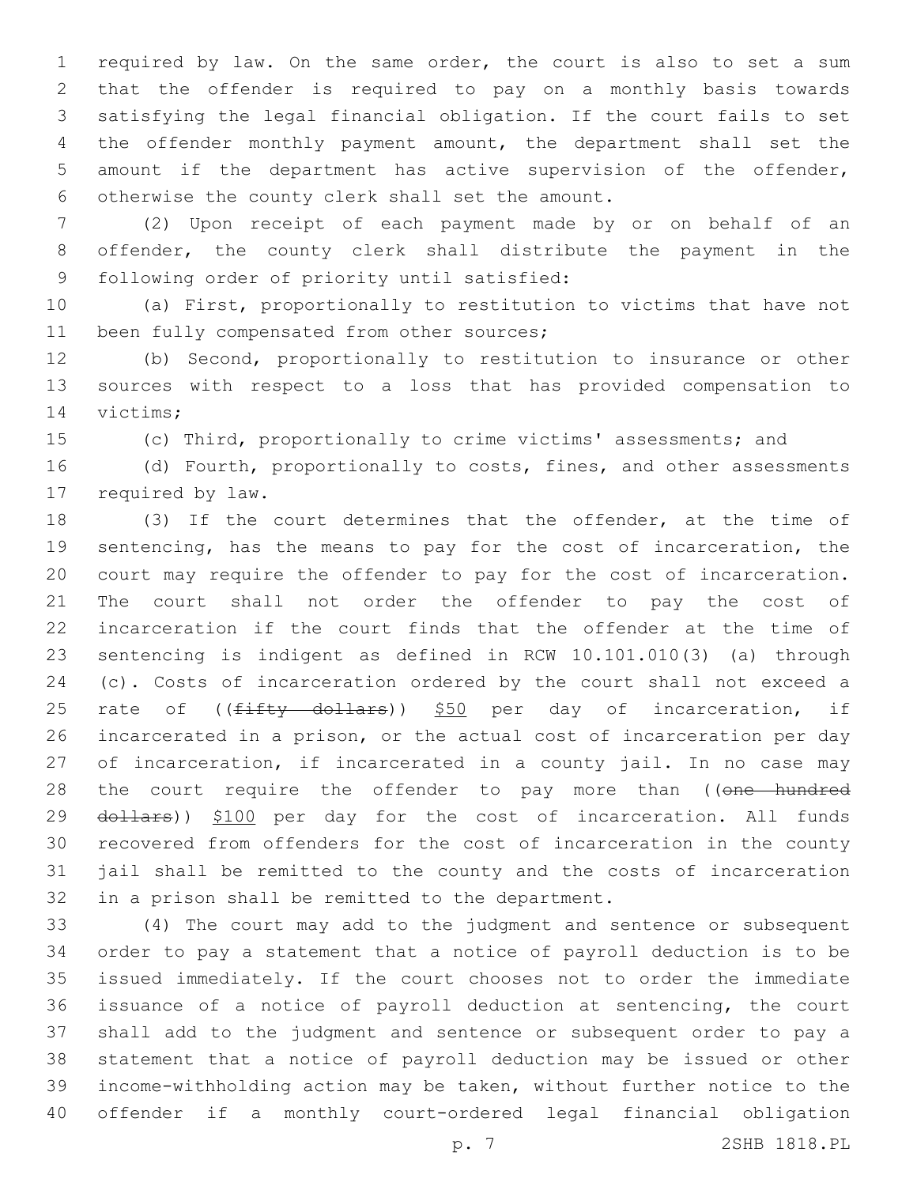required by law. On the same order, the court is also to set a sum that the offender is required to pay on a monthly basis towards satisfying the legal financial obligation. If the court fails to set the offender monthly payment amount, the department shall set the amount if the department has active supervision of the offender, 6 otherwise the county clerk shall set the amount.

 (2) Upon receipt of each payment made by or on behalf of an offender, the county clerk shall distribute the payment in the 9 following order of priority until satisfied:

 (a) First, proportionally to restitution to victims that have not 11 been fully compensated from other sources;

 (b) Second, proportionally to restitution to insurance or other sources with respect to a loss that has provided compensation to 14 victims;

(c) Third, proportionally to crime victims' assessments; and

16 (d) Fourth, proportionally to costs, fines, and other assessments 17 required by law.

 (3) If the court determines that the offender, at the time of sentencing, has the means to pay for the cost of incarceration, the court may require the offender to pay for the cost of incarceration. The court shall not order the offender to pay the cost of incarceration if the court finds that the offender at the time of sentencing is indigent as defined in RCW 10.101.010(3) (a) through (c). Costs of incarceration ordered by the court shall not exceed a 25 rate of ((fifty dollars)) \$50 per day of incarceration, if incarcerated in a prison, or the actual cost of incarceration per day 27 of incarceration, if incarcerated in a county jail. In no case may 28 the court require the offender to pay more than ((one hundred 29 dollars)) \$100 per day for the cost of incarceration. All funds recovered from offenders for the cost of incarceration in the county jail shall be remitted to the county and the costs of incarceration 32 in a prison shall be remitted to the department.

 (4) The court may add to the judgment and sentence or subsequent order to pay a statement that a notice of payroll deduction is to be issued immediately. If the court chooses not to order the immediate issuance of a notice of payroll deduction at sentencing, the court shall add to the judgment and sentence or subsequent order to pay a statement that a notice of payroll deduction may be issued or other income-withholding action may be taken, without further notice to the offender if a monthly court-ordered legal financial obligation

p. 7 2SHB 1818.PL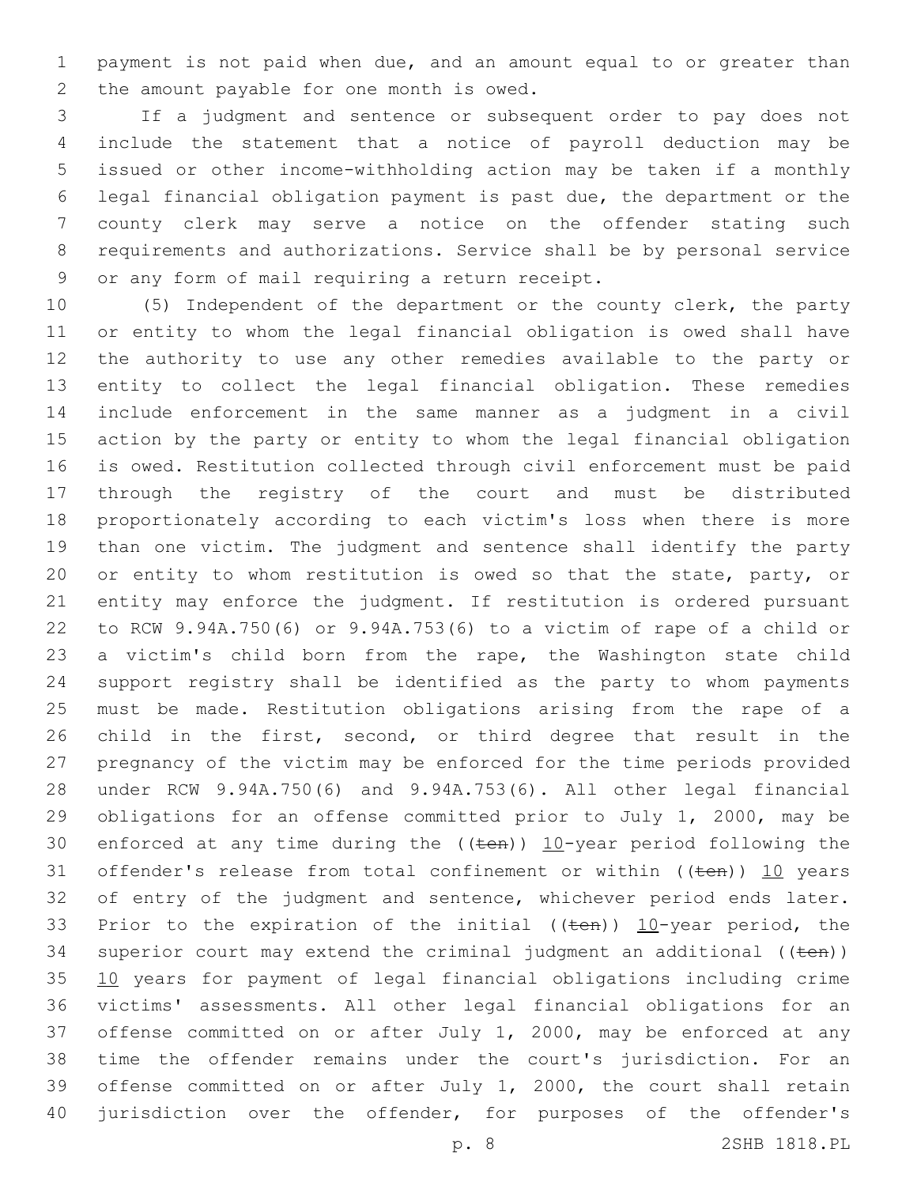payment is not paid when due, and an amount equal to or greater than 2 the amount payable for one month is owed.

 If a judgment and sentence or subsequent order to pay does not include the statement that a notice of payroll deduction may be issued or other income-withholding action may be taken if a monthly legal financial obligation payment is past due, the department or the county clerk may serve a notice on the offender stating such requirements and authorizations. Service shall be by personal service 9 or any form of mail requiring a return receipt.

 (5) Independent of the department or the county clerk, the party or entity to whom the legal financial obligation is owed shall have the authority to use any other remedies available to the party or entity to collect the legal financial obligation. These remedies include enforcement in the same manner as a judgment in a civil action by the party or entity to whom the legal financial obligation is owed. Restitution collected through civil enforcement must be paid through the registry of the court and must be distributed proportionately according to each victim's loss when there is more than one victim. The judgment and sentence shall identify the party 20 or entity to whom restitution is owed so that the state, party, or entity may enforce the judgment. If restitution is ordered pursuant to RCW 9.94A.750(6) or 9.94A.753(6) to a victim of rape of a child or a victim's child born from the rape, the Washington state child support registry shall be identified as the party to whom payments must be made. Restitution obligations arising from the rape of a child in the first, second, or third degree that result in the pregnancy of the victim may be enforced for the time periods provided under RCW 9.94A.750(6) and 9.94A.753(6). All other legal financial obligations for an offense committed prior to July 1, 2000, may be 30 enforced at any time during the  $((\text{ten}))$  10-year period following the 31 offender's release from total confinement or within  $((ten))$  10 years 32 of entry of the judgment and sentence, whichever period ends later. 33 Prior to the expiration of the initial (( $t$ en))  $10$ -year period, the 34 superior court may extend the criminal judgment an additional  $((\text{ten}))$  10 years for payment of legal financial obligations including crime victims' assessments. All other legal financial obligations for an offense committed on or after July 1, 2000, may be enforced at any time the offender remains under the court's jurisdiction. For an offense committed on or after July 1, 2000, the court shall retain 40 jurisdiction over the offender, for purposes of the offender's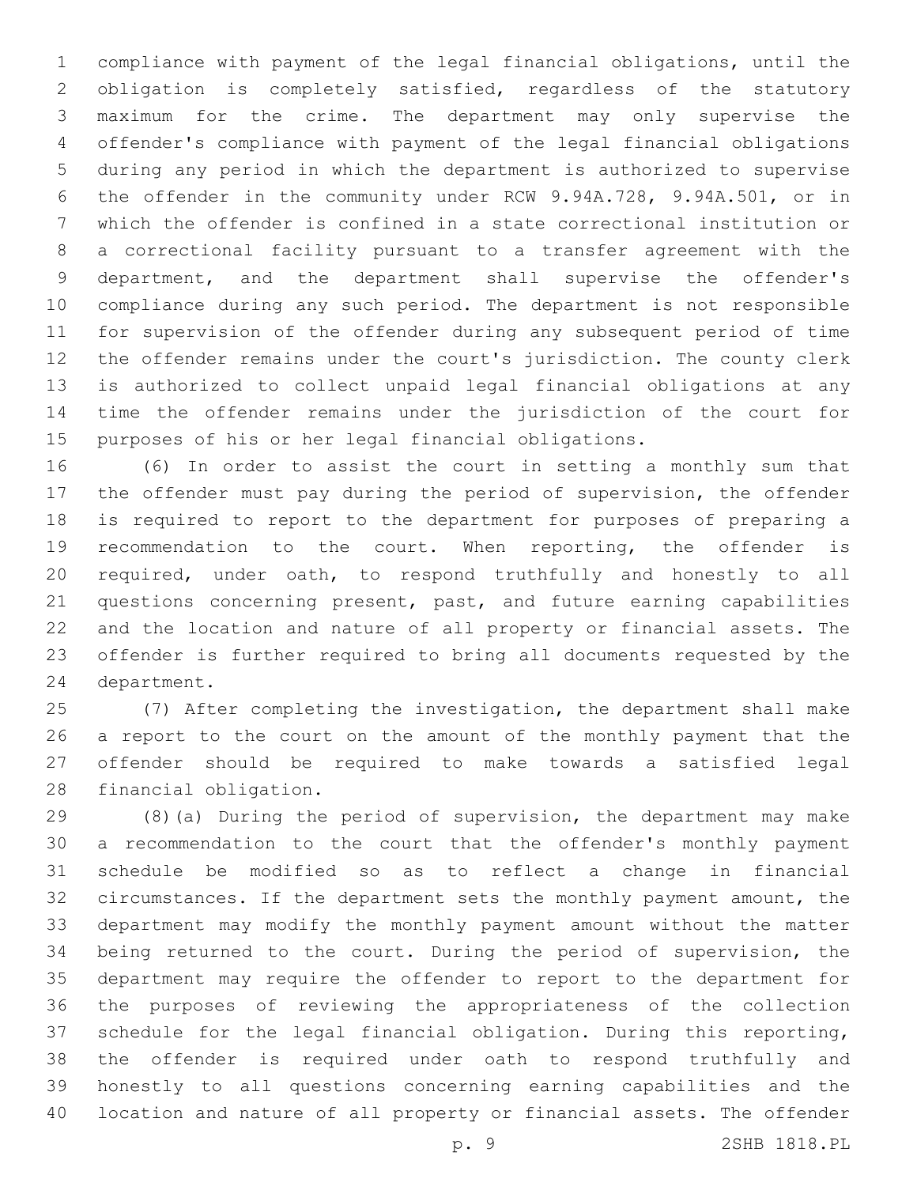compliance with payment of the legal financial obligations, until the obligation is completely satisfied, regardless of the statutory maximum for the crime. The department may only supervise the offender's compliance with payment of the legal financial obligations during any period in which the department is authorized to supervise the offender in the community under RCW 9.94A.728, 9.94A.501, or in which the offender is confined in a state correctional institution or a correctional facility pursuant to a transfer agreement with the department, and the department shall supervise the offender's compliance during any such period. The department is not responsible for supervision of the offender during any subsequent period of time the offender remains under the court's jurisdiction. The county clerk is authorized to collect unpaid legal financial obligations at any time the offender remains under the jurisdiction of the court for purposes of his or her legal financial obligations.

 (6) In order to assist the court in setting a monthly sum that the offender must pay during the period of supervision, the offender is required to report to the department for purposes of preparing a recommendation to the court. When reporting, the offender is required, under oath, to respond truthfully and honestly to all questions concerning present, past, and future earning capabilities and the location and nature of all property or financial assets. The offender is further required to bring all documents requested by the 24 department.

 (7) After completing the investigation, the department shall make a report to the court on the amount of the monthly payment that the offender should be required to make towards a satisfied legal 28 financial obligation.

 (8)(a) During the period of supervision, the department may make a recommendation to the court that the offender's monthly payment schedule be modified so as to reflect a change in financial circumstances. If the department sets the monthly payment amount, the department may modify the monthly payment amount without the matter being returned to the court. During the period of supervision, the department may require the offender to report to the department for the purposes of reviewing the appropriateness of the collection schedule for the legal financial obligation. During this reporting, the offender is required under oath to respond truthfully and honestly to all questions concerning earning capabilities and the location and nature of all property or financial assets. The offender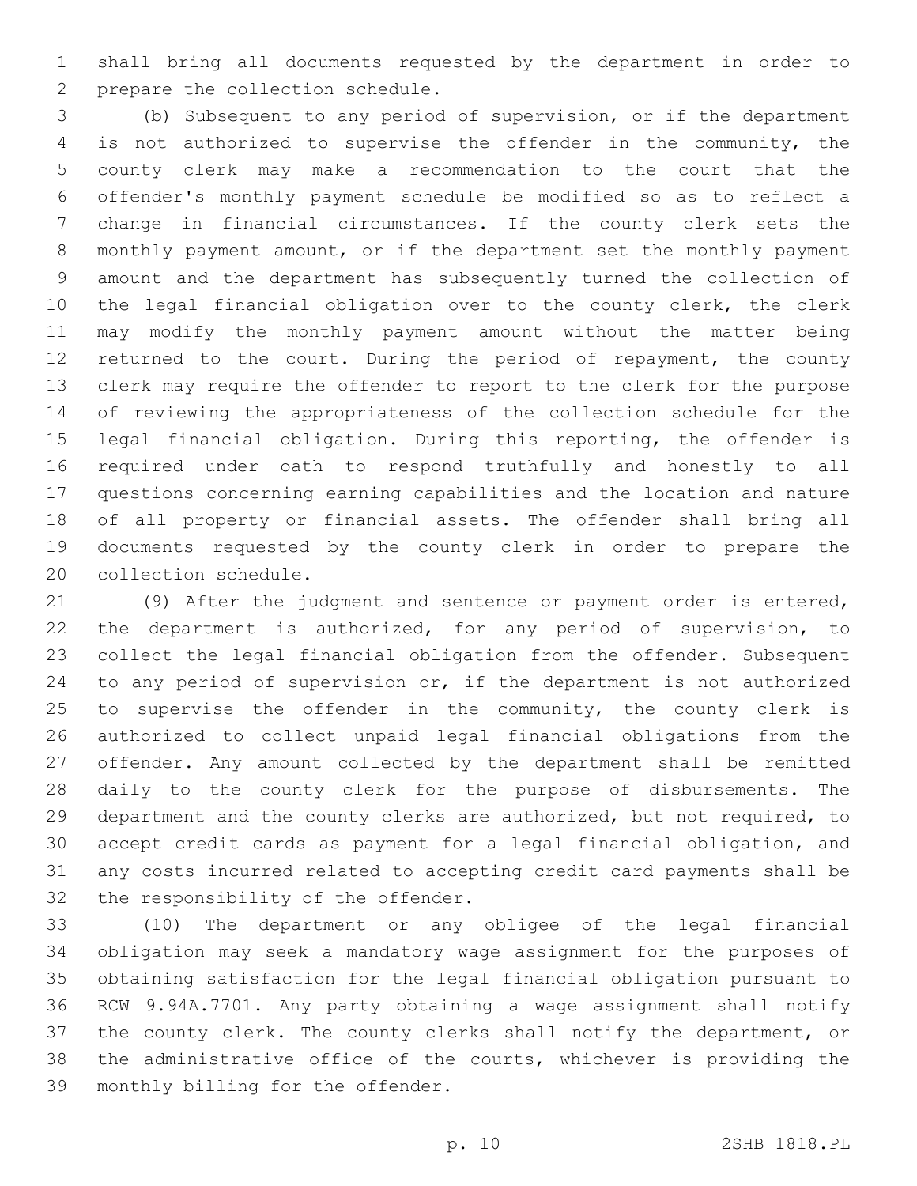shall bring all documents requested by the department in order to 2 prepare the collection schedule.

 (b) Subsequent to any period of supervision, or if the department is not authorized to supervise the offender in the community, the county clerk may make a recommendation to the court that the offender's monthly payment schedule be modified so as to reflect a change in financial circumstances. If the county clerk sets the monthly payment amount, or if the department set the monthly payment amount and the department has subsequently turned the collection of the legal financial obligation over to the county clerk, the clerk may modify the monthly payment amount without the matter being 12 returned to the court. During the period of repayment, the county clerk may require the offender to report to the clerk for the purpose of reviewing the appropriateness of the collection schedule for the legal financial obligation. During this reporting, the offender is required under oath to respond truthfully and honestly to all questions concerning earning capabilities and the location and nature of all property or financial assets. The offender shall bring all documents requested by the county clerk in order to prepare the 20 collection schedule.

 (9) After the judgment and sentence or payment order is entered, the department is authorized, for any period of supervision, to collect the legal financial obligation from the offender. Subsequent to any period of supervision or, if the department is not authorized 25 to supervise the offender in the community, the county clerk is authorized to collect unpaid legal financial obligations from the offender. Any amount collected by the department shall be remitted daily to the county clerk for the purpose of disbursements. The department and the county clerks are authorized, but not required, to accept credit cards as payment for a legal financial obligation, and any costs incurred related to accepting credit card payments shall be 32 the responsibility of the offender.

 (10) The department or any obligee of the legal financial obligation may seek a mandatory wage assignment for the purposes of obtaining satisfaction for the legal financial obligation pursuant to RCW 9.94A.7701. Any party obtaining a wage assignment shall notify the county clerk. The county clerks shall notify the department, or the administrative office of the courts, whichever is providing the 39 monthly billing for the offender.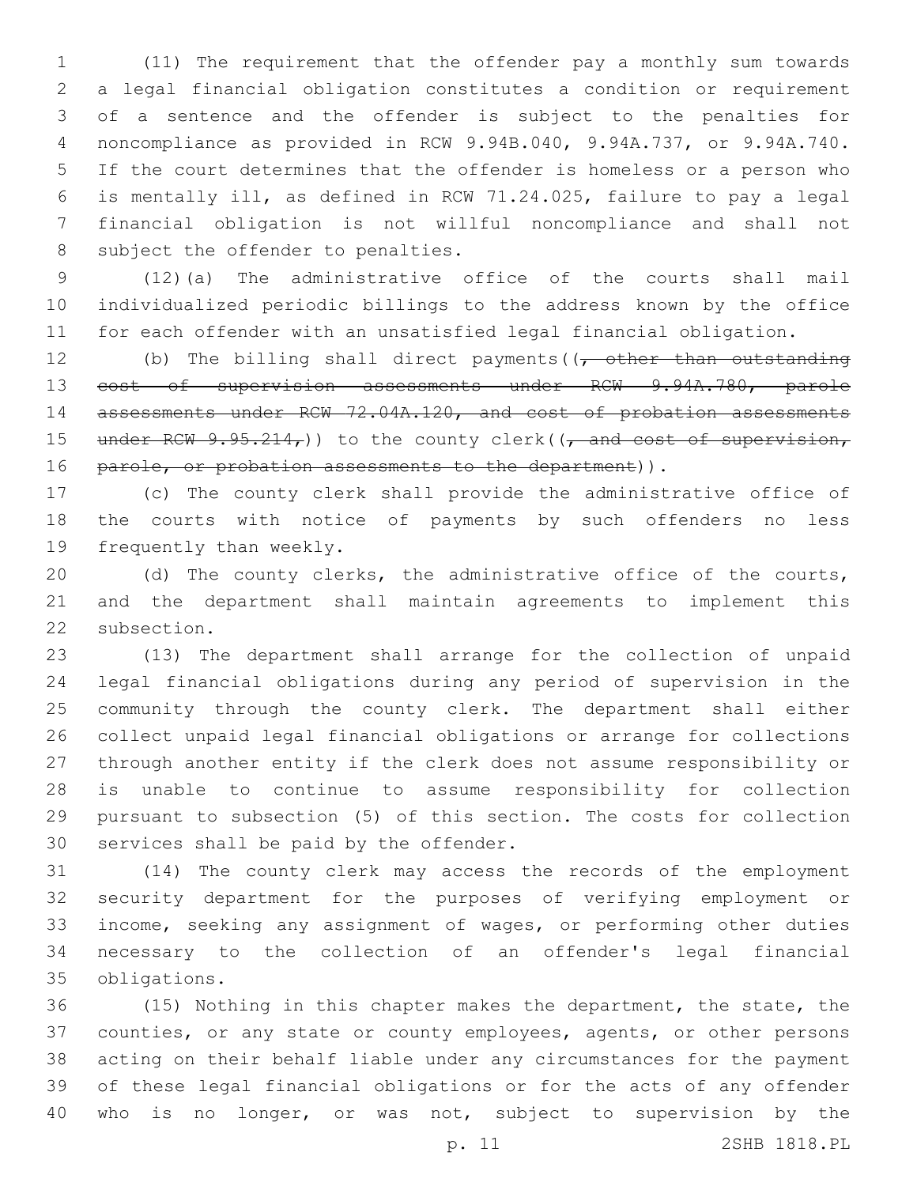(11) The requirement that the offender pay a monthly sum towards a legal financial obligation constitutes a condition or requirement of a sentence and the offender is subject to the penalties for noncompliance as provided in RCW 9.94B.040, 9.94A.737, or 9.94A.740. If the court determines that the offender is homeless or a person who is mentally ill, as defined in RCW 71.24.025, failure to pay a legal financial obligation is not willful noncompliance and shall not 8 subject the offender to penalties.

 (12)(a) The administrative office of the courts shall mail individualized periodic billings to the address known by the office for each offender with an unsatisfied legal financial obligation.

12 (b) The billing shall direct payments  $(1, -0)$  other than outstanding cost of supervision assessments under RCW 9.94A.780, parole 14 assessments under RCW 72.04A.120, and cost of probation assessments 15 under RCW  $9.95.214<sub>r</sub>$ )) to the county clerk(( $\frac{1}{r}$  and cost of supervision, 16 parole, or probation assessments to the department)).

 (c) The county clerk shall provide the administrative office of the courts with notice of payments by such offenders no less 19 frequently than weekly.

 (d) The county clerks, the administrative office of the courts, and the department shall maintain agreements to implement this 22 subsection.

 (13) The department shall arrange for the collection of unpaid legal financial obligations during any period of supervision in the community through the county clerk. The department shall either collect unpaid legal financial obligations or arrange for collections through another entity if the clerk does not assume responsibility or is unable to continue to assume responsibility for collection pursuant to subsection (5) of this section. The costs for collection 30 services shall be paid by the offender.

 (14) The county clerk may access the records of the employment security department for the purposes of verifying employment or income, seeking any assignment of wages, or performing other duties necessary to the collection of an offender's legal financial obligations.35

 (15) Nothing in this chapter makes the department, the state, the counties, or any state or county employees, agents, or other persons acting on their behalf liable under any circumstances for the payment of these legal financial obligations or for the acts of any offender who is no longer, or was not, subject to supervision by the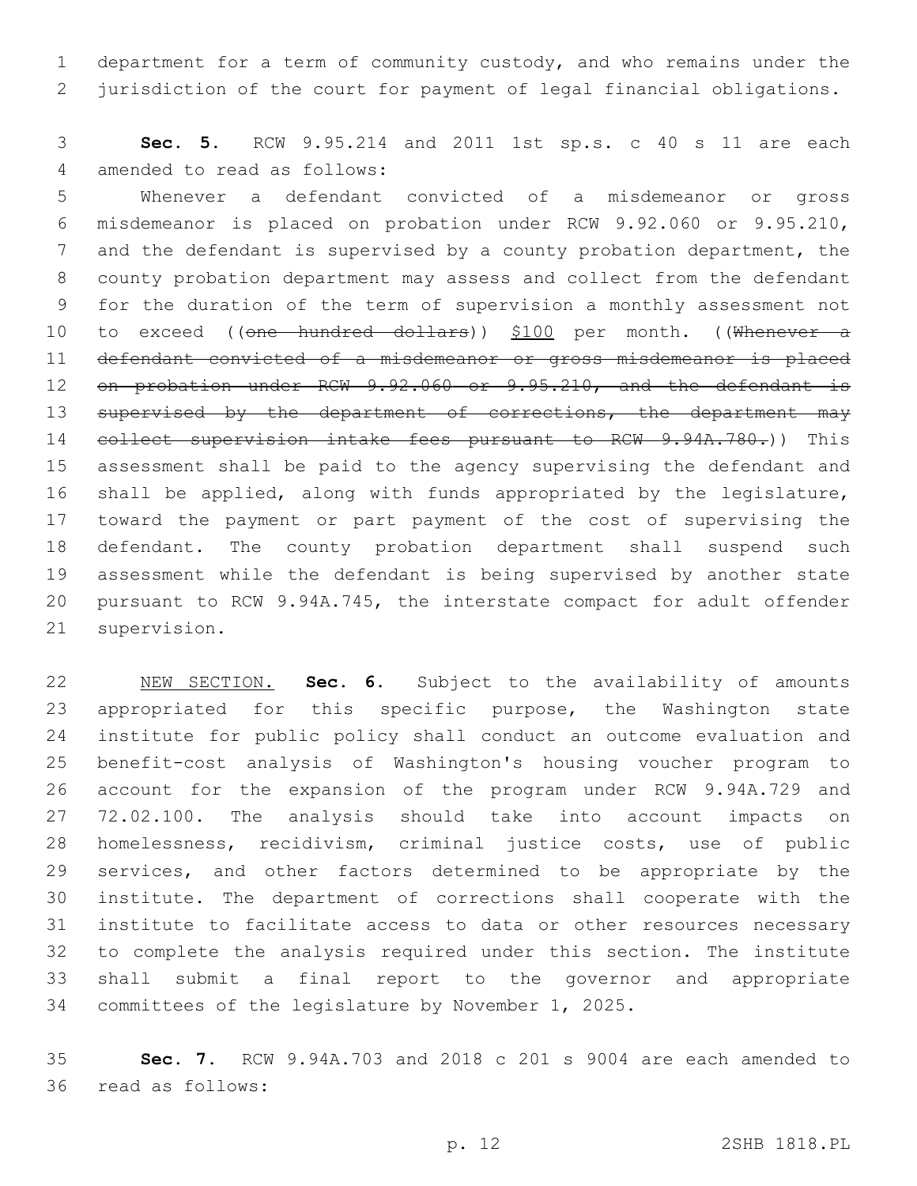department for a term of community custody, and who remains under the jurisdiction of the court for payment of legal financial obligations.

 **Sec. 5.** RCW 9.95.214 and 2011 1st sp.s. c 40 s 11 are each 4 amended to read as follows:

 Whenever a defendant convicted of a misdemeanor or gross misdemeanor is placed on probation under RCW 9.92.060 or 9.95.210, and the defendant is supervised by a county probation department, the county probation department may assess and collect from the defendant for the duration of the term of supervision a monthly assessment not 10 to exceed ((one hundred dollars)) \$100 per month. ((Whenever a defendant convicted of a misdemeanor or gross misdemeanor is placed 12 on probation under RCW 9.92.060 or 9.95.210, and the defendant is 13 supervised by the department of corrections, the department may 14 collect supervision intake fees pursuant to RCW 9.94A.780.)) This assessment shall be paid to the agency supervising the defendant and shall be applied, along with funds appropriated by the legislature, toward the payment or part payment of the cost of supervising the defendant. The county probation department shall suspend such assessment while the defendant is being supervised by another state pursuant to RCW 9.94A.745, the interstate compact for adult offender 21 supervision.

 NEW SECTION. **Sec. 6.** Subject to the availability of amounts appropriated for this specific purpose, the Washington state institute for public policy shall conduct an outcome evaluation and benefit-cost analysis of Washington's housing voucher program to account for the expansion of the program under RCW 9.94A.729 and 72.02.100. The analysis should take into account impacts on homelessness, recidivism, criminal justice costs, use of public services, and other factors determined to be appropriate by the institute. The department of corrections shall cooperate with the institute to facilitate access to data or other resources necessary to complete the analysis required under this section. The institute shall submit a final report to the governor and appropriate committees of the legislature by November 1, 2025.

 **Sec. 7.** RCW 9.94A.703 and 2018 c 201 s 9004 are each amended to 36 read as follows: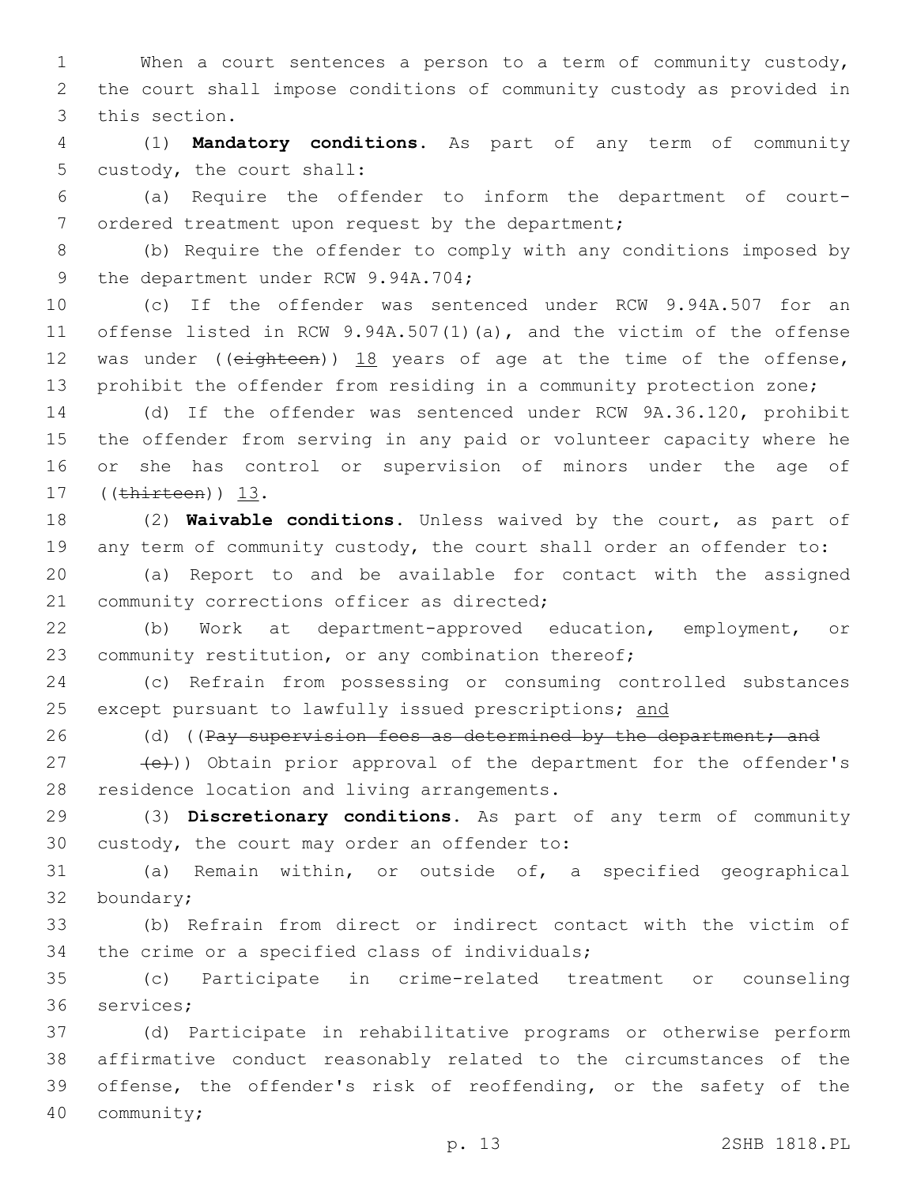1 When a court sentences a person to a term of community custody, 2 the court shall impose conditions of community custody as provided in 3 this section.

4 (1) **Mandatory conditions.** As part of any term of community 5 custody, the court shall:

6 (a) Require the offender to inform the department of court-7 ordered treatment upon request by the department;

8 (b) Require the offender to comply with any conditions imposed by 9 the department under RCW 9.94A.704;

 (c) If the offender was sentenced under RCW 9.94A.507 for an offense listed in RCW 9.94A.507(1)(a), and the victim of the offense 12 was under ((eighteen)) 18 years of age at the time of the offense, prohibit the offender from residing in a community protection zone;

 (d) If the offender was sentenced under RCW 9A.36.120, prohibit the offender from serving in any paid or volunteer capacity where he or she has control or supervision of minors under the age of 17 ((thirteen)) 13.

18 (2) **Waivable conditions.** Unless waived by the court, as part of 19 any term of community custody, the court shall order an offender to:

20 (a) Report to and be available for contact with the assigned 21 community corrections officer as directed;

22 (b) Work at department-approved education, employment, or 23 community restitution, or any combination thereof;

24 (c) Refrain from possessing or consuming controlled substances 25 except pursuant to lawfully issued prescriptions; and

26 (d) ((Pay supervision fees as determined by the department; and

27 (e))) Obtain prior approval of the department for the offender's 28 residence location and living arrangements.

29 (3) **Discretionary conditions.** As part of any term of community 30 custody, the court may order an offender to:

31 (a) Remain within, or outside of, a specified geographical 32 boundary;

33 (b) Refrain from direct or indirect contact with the victim of 34 the crime or a specified class of individuals;

35 (c) Participate in crime-related treatment or counseling 36 services;

 (d) Participate in rehabilitative programs or otherwise perform affirmative conduct reasonably related to the circumstances of the offense, the offender's risk of reoffending, or the safety of the 40 community;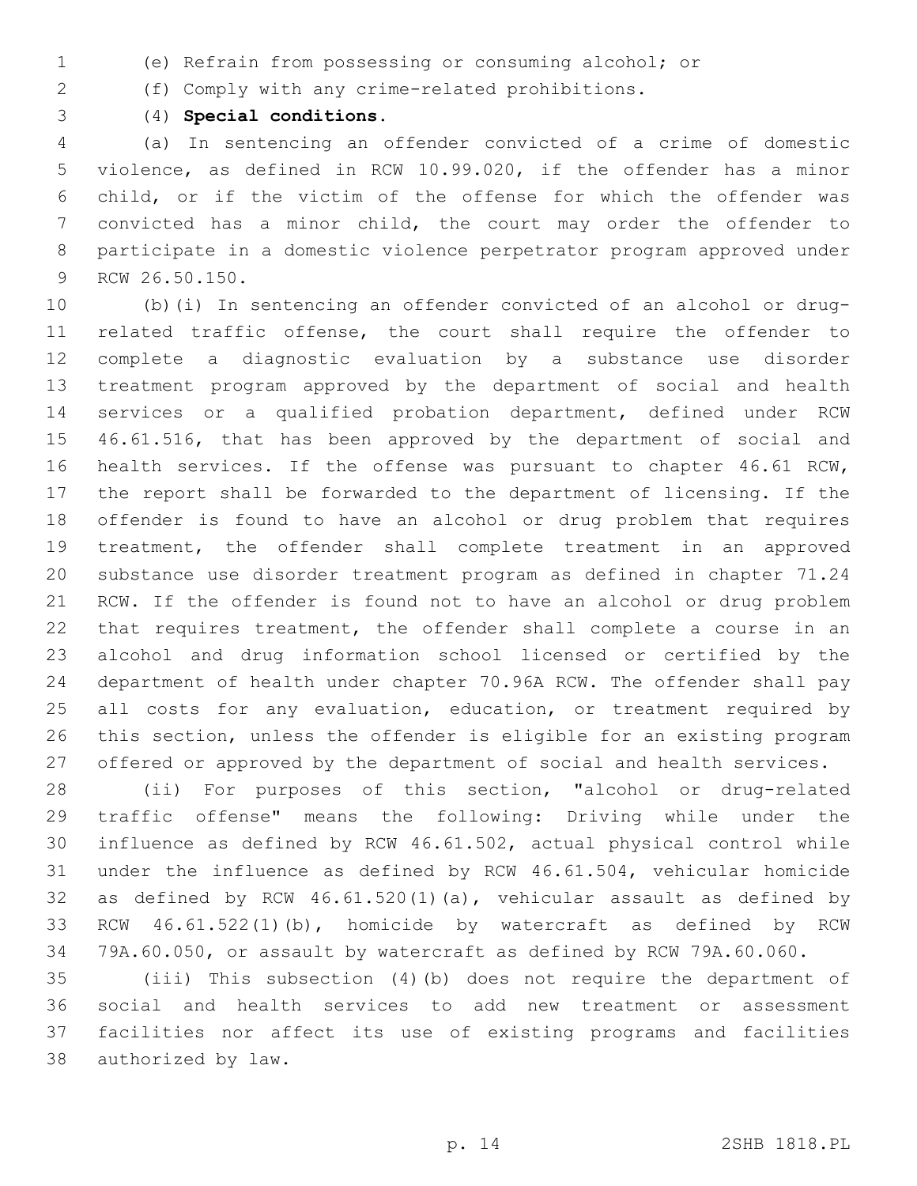- (e) Refrain from possessing or consuming alcohol; or
- (f) Comply with any crime-related prohibitions.
- (4) **Special conditions.**

 (a) In sentencing an offender convicted of a crime of domestic violence, as defined in RCW 10.99.020, if the offender has a minor child, or if the victim of the offense for which the offender was convicted has a minor child, the court may order the offender to participate in a domestic violence perpetrator program approved under 9 RCW 26.50.150.

 (b)(i) In sentencing an offender convicted of an alcohol or drug- related traffic offense, the court shall require the offender to complete a diagnostic evaluation by a substance use disorder treatment program approved by the department of social and health services or a qualified probation department, defined under RCW 46.61.516, that has been approved by the department of social and health services. If the offense was pursuant to chapter 46.61 RCW, the report shall be forwarded to the department of licensing. If the offender is found to have an alcohol or drug problem that requires treatment, the offender shall complete treatment in an approved substance use disorder treatment program as defined in chapter 71.24 RCW. If the offender is found not to have an alcohol or drug problem that requires treatment, the offender shall complete a course in an alcohol and drug information school licensed or certified by the department of health under chapter 70.96A RCW. The offender shall pay 25 all costs for any evaluation, education, or treatment required by this section, unless the offender is eligible for an existing program offered or approved by the department of social and health services.

 (ii) For purposes of this section, "alcohol or drug-related traffic offense" means the following: Driving while under the influence as defined by RCW 46.61.502, actual physical control while under the influence as defined by RCW 46.61.504, vehicular homicide as defined by RCW 46.61.520(1)(a), vehicular assault as defined by RCW 46.61.522(1)(b), homicide by watercraft as defined by RCW 79A.60.050, or assault by watercraft as defined by RCW 79A.60.060.

 (iii) This subsection (4)(b) does not require the department of social and health services to add new treatment or assessment facilities nor affect its use of existing programs and facilities 38 authorized by law.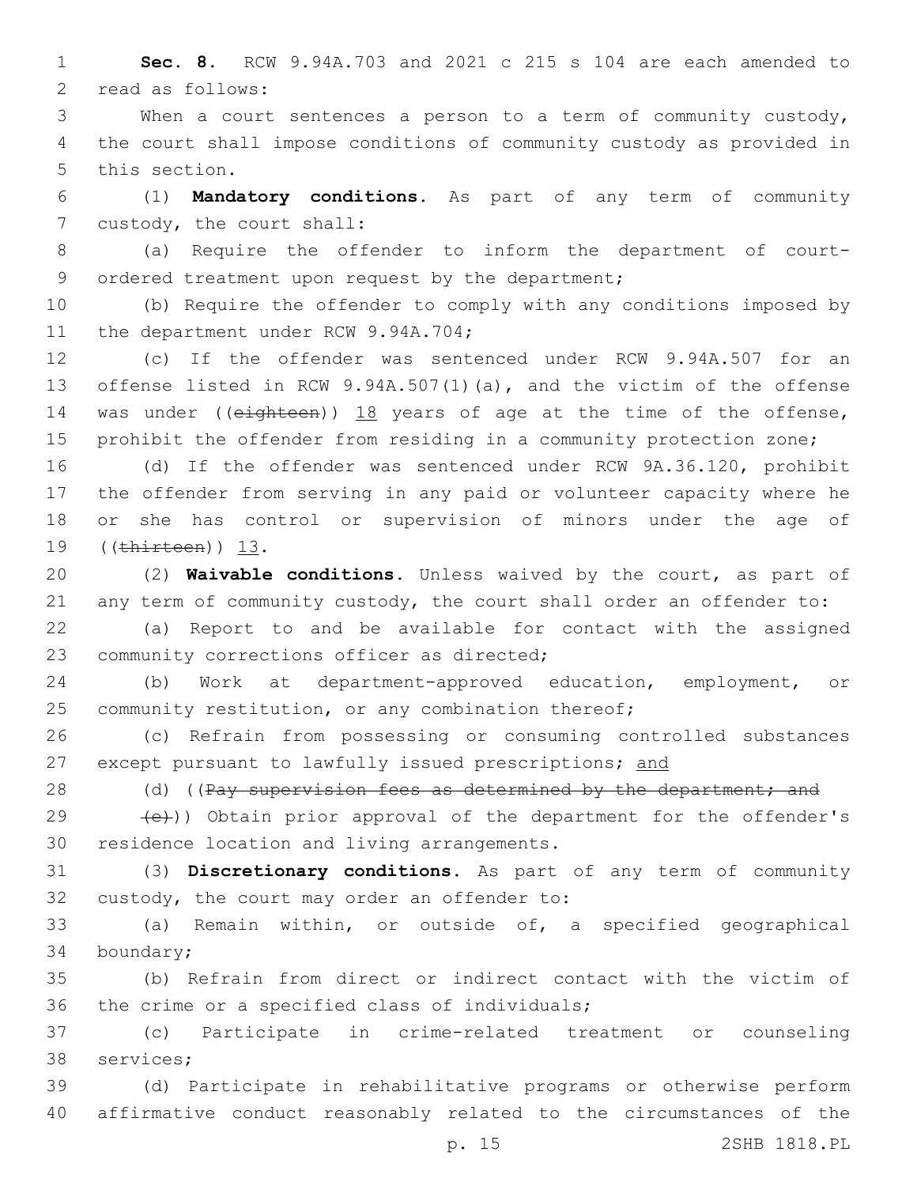1 **Sec. 8.** RCW 9.94A.703 and 2021 c 215 s 104 are each amended to 2 read as follows:

3 When a court sentences a person to a term of community custody, 4 the court shall impose conditions of community custody as provided in 5 this section.

6 (1) **Mandatory conditions.** As part of any term of community 7 custody, the court shall:

8 (a) Require the offender to inform the department of court-9 ordered treatment upon request by the department;

10 (b) Require the offender to comply with any conditions imposed by 11 the department under RCW 9.94A.704;

 (c) If the offender was sentenced under RCW 9.94A.507 for an offense listed in RCW 9.94A.507(1)(a), and the victim of the offense 14 was under ((eighteen)) 18 years of age at the time of the offense, prohibit the offender from residing in a community protection zone;

 (d) If the offender was sentenced under RCW 9A.36.120, prohibit the offender from serving in any paid or volunteer capacity where he or she has control or supervision of minors under the age of 19 ((thirteen)) 13.

20 (2) **Waivable conditions.** Unless waived by the court, as part of 21 any term of community custody, the court shall order an offender to:

22 (a) Report to and be available for contact with the assigned 23 community corrections officer as directed;

24 (b) Work at department-approved education, employment, or 25 community restitution, or any combination thereof;

26 (c) Refrain from possessing or consuming controlled substances 27 except pursuant to lawfully issued prescriptions; and

28 (d) ((Pay supervision fees as determined by the department; and

29  $(e)$ )) Obtain prior approval of the department for the offender's 30 residence location and living arrangements.

31 (3) **Discretionary conditions.** As part of any term of community 32 custody, the court may order an offender to:

33 (a) Remain within, or outside of, a specified geographical 34 boundary;

35 (b) Refrain from direct or indirect contact with the victim of 36 the crime or a specified class of individuals;

37 (c) Participate in crime-related treatment or counseling 38 services;

39 (d) Participate in rehabilitative programs or otherwise perform 40 affirmative conduct reasonably related to the circumstances of the

p. 15 2SHB 1818.PL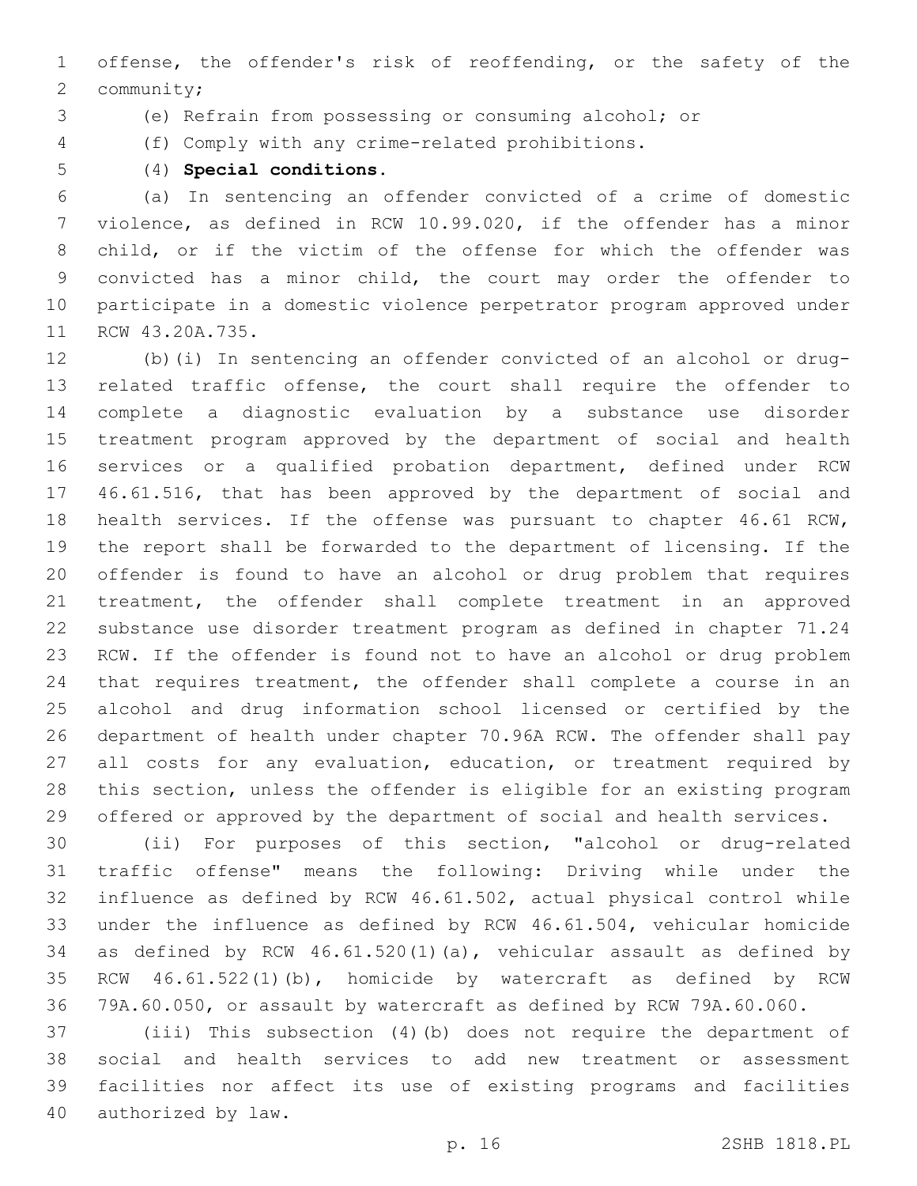offense, the offender's risk of reoffending, or the safety of the 2 community;

(e) Refrain from possessing or consuming alcohol; or

- (f) Comply with any crime-related prohibitions.
- 

(4) **Special conditions.**

 (a) In sentencing an offender convicted of a crime of domestic violence, as defined in RCW 10.99.020, if the offender has a minor child, or if the victim of the offense for which the offender was convicted has a minor child, the court may order the offender to participate in a domestic violence perpetrator program approved under 11 RCW 43.20A.735.

 (b)(i) In sentencing an offender convicted of an alcohol or drug- related traffic offense, the court shall require the offender to complete a diagnostic evaluation by a substance use disorder treatment program approved by the department of social and health services or a qualified probation department, defined under RCW 46.61.516, that has been approved by the department of social and health services. If the offense was pursuant to chapter 46.61 RCW, the report shall be forwarded to the department of licensing. If the offender is found to have an alcohol or drug problem that requires treatment, the offender shall complete treatment in an approved substance use disorder treatment program as defined in chapter 71.24 RCW. If the offender is found not to have an alcohol or drug problem that requires treatment, the offender shall complete a course in an alcohol and drug information school licensed or certified by the department of health under chapter 70.96A RCW. The offender shall pay 27 all costs for any evaluation, education, or treatment required by this section, unless the offender is eligible for an existing program offered or approved by the department of social and health services.

 (ii) For purposes of this section, "alcohol or drug-related traffic offense" means the following: Driving while under the influence as defined by RCW 46.61.502, actual physical control while under the influence as defined by RCW 46.61.504, vehicular homicide as defined by RCW 46.61.520(1)(a), vehicular assault as defined by RCW 46.61.522(1)(b), homicide by watercraft as defined by RCW 79A.60.050, or assault by watercraft as defined by RCW 79A.60.060.

 (iii) This subsection (4)(b) does not require the department of social and health services to add new treatment or assessment facilities nor affect its use of existing programs and facilities 40 authorized by law.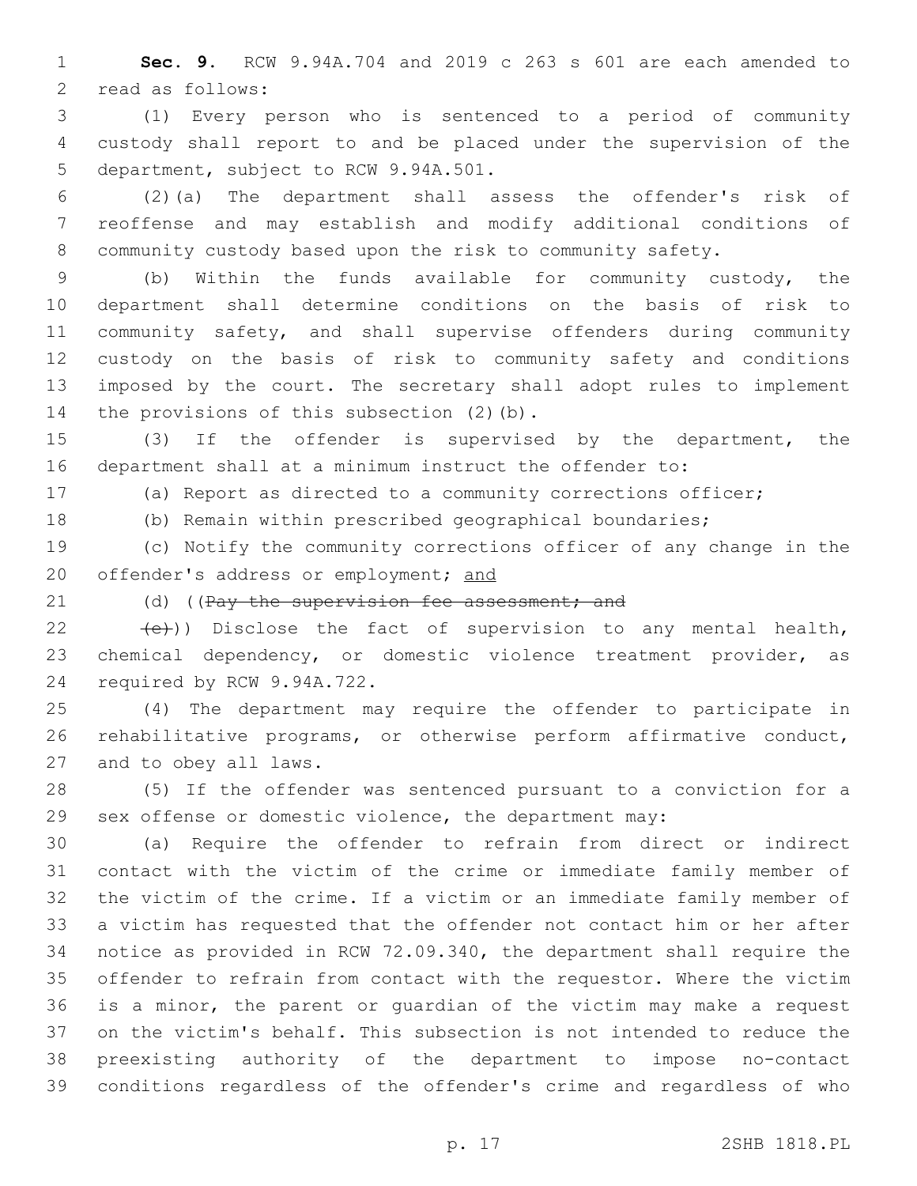**Sec. 9.** RCW 9.94A.704 and 2019 c 263 s 601 are each amended to 2 read as follows:

 (1) Every person who is sentenced to a period of community custody shall report to and be placed under the supervision of the 5 department, subject to RCW 9.94A.501.

 (2)(a) The department shall assess the offender's risk of reoffense and may establish and modify additional conditions of community custody based upon the risk to community safety.

 (b) Within the funds available for community custody, the department shall determine conditions on the basis of risk to community safety, and shall supervise offenders during community custody on the basis of risk to community safety and conditions imposed by the court. The secretary shall adopt rules to implement 14 the provisions of this subsection (2)(b).

 (3) If the offender is supervised by the department, the department shall at a minimum instruct the offender to:

(a) Report as directed to a community corrections officer;

(b) Remain within prescribed geographical boundaries;

 (c) Notify the community corrections officer of any change in the 20 offender's address or employment; and

21 (d) ((Pay the supervision fee assessment; and

22  $(e)$ )) Disclose the fact of supervision to any mental health, chemical dependency, or domestic violence treatment provider, as 24 required by RCW 9.94A.722.

 (4) The department may require the offender to participate in rehabilitative programs, or otherwise perform affirmative conduct, 27 and to obey all laws.

 (5) If the offender was sentenced pursuant to a conviction for a sex offense or domestic violence, the department may:

 (a) Require the offender to refrain from direct or indirect contact with the victim of the crime or immediate family member of the victim of the crime. If a victim or an immediate family member of a victim has requested that the offender not contact him or her after notice as provided in RCW 72.09.340, the department shall require the offender to refrain from contact with the requestor. Where the victim is a minor, the parent or guardian of the victim may make a request on the victim's behalf. This subsection is not intended to reduce the preexisting authority of the department to impose no-contact conditions regardless of the offender's crime and regardless of who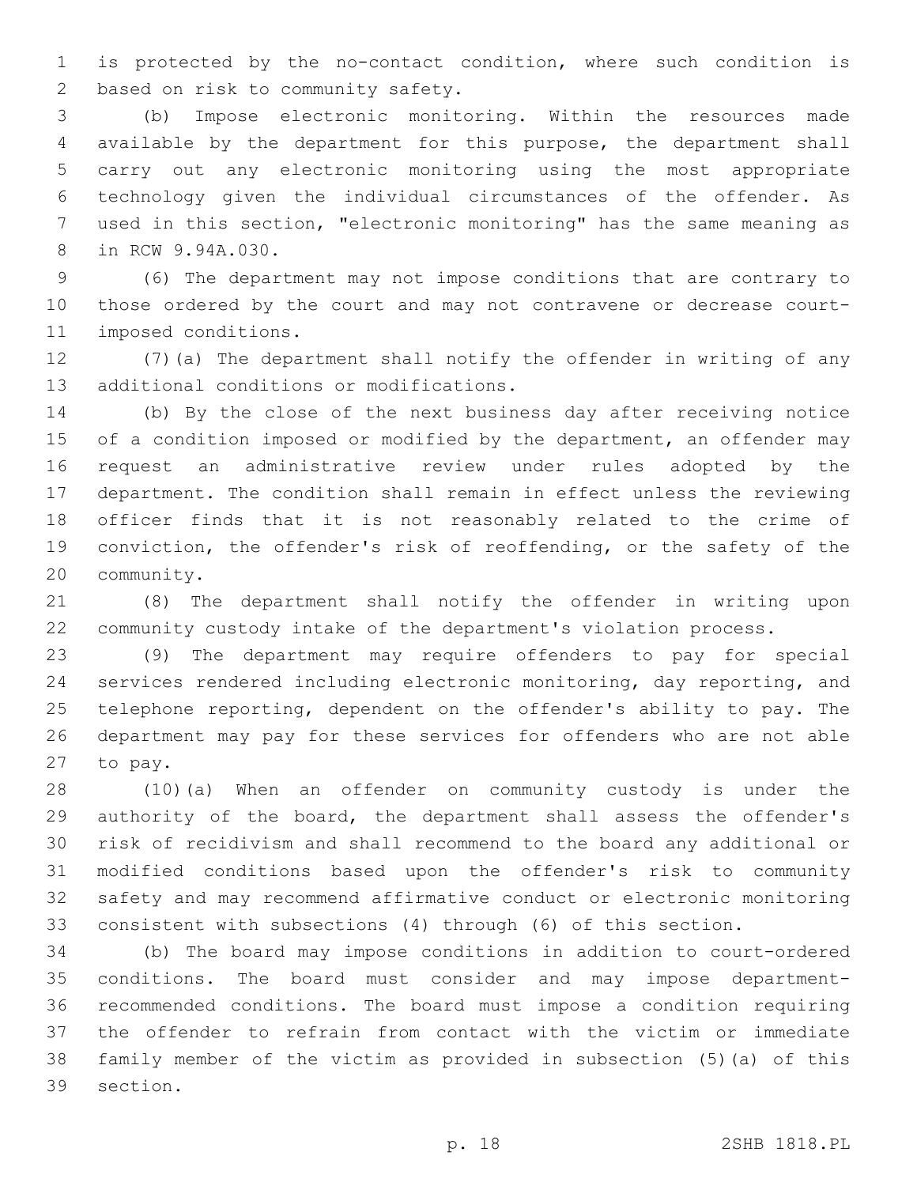is protected by the no-contact condition, where such condition is 2 based on risk to community safety.

 (b) Impose electronic monitoring. Within the resources made available by the department for this purpose, the department shall carry out any electronic monitoring using the most appropriate technology given the individual circumstances of the offender. As used in this section, "electronic monitoring" has the same meaning as 8 in RCW 9.94A.030.

 (6) The department may not impose conditions that are contrary to those ordered by the court and may not contravene or decrease court-11 imposed conditions.

 (7)(a) The department shall notify the offender in writing of any 13 additional conditions or modifications.

 (b) By the close of the next business day after receiving notice 15 of a condition imposed or modified by the department, an offender may request an administrative review under rules adopted by the department. The condition shall remain in effect unless the reviewing officer finds that it is not reasonably related to the crime of conviction, the offender's risk of reoffending, or the safety of the 20 community.

 (8) The department shall notify the offender in writing upon community custody intake of the department's violation process.

 (9) The department may require offenders to pay for special services rendered including electronic monitoring, day reporting, and telephone reporting, dependent on the offender's ability to pay. The department may pay for these services for offenders who are not able 27 to pay.

 (10)(a) When an offender on community custody is under the authority of the board, the department shall assess the offender's risk of recidivism and shall recommend to the board any additional or modified conditions based upon the offender's risk to community safety and may recommend affirmative conduct or electronic monitoring consistent with subsections (4) through (6) of this section.

 (b) The board may impose conditions in addition to court-ordered conditions. The board must consider and may impose department- recommended conditions. The board must impose a condition requiring the offender to refrain from contact with the victim or immediate family member of the victim as provided in subsection (5)(a) of this 39 section.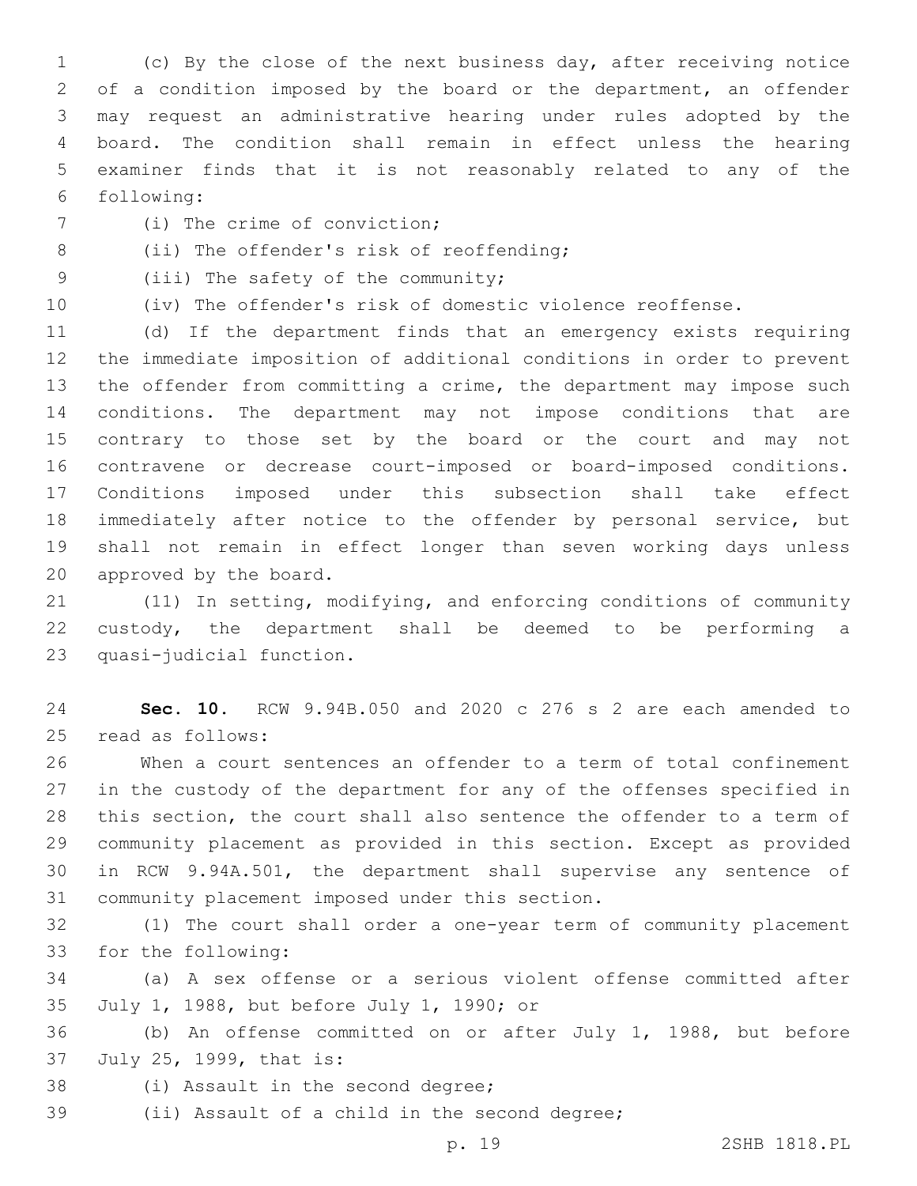(c) By the close of the next business day, after receiving notice of a condition imposed by the board or the department, an offender may request an administrative hearing under rules adopted by the board. The condition shall remain in effect unless the hearing examiner finds that it is not reasonably related to any of the following:6

- 7 (i) The crime of conviction;
- 8 (ii) The offender's risk of reoffending;
- 9 (iii) The safety of the community;
- 

(iv) The offender's risk of domestic violence reoffense.

 (d) If the department finds that an emergency exists requiring the immediate imposition of additional conditions in order to prevent the offender from committing a crime, the department may impose such conditions. The department may not impose conditions that are contrary to those set by the board or the court and may not contravene or decrease court-imposed or board-imposed conditions. Conditions imposed under this subsection shall take effect immediately after notice to the offender by personal service, but shall not remain in effect longer than seven working days unless 20 approved by the board.

 (11) In setting, modifying, and enforcing conditions of community custody, the department shall be deemed to be performing a 23 quasi-judicial function.

 **Sec. 10.** RCW 9.94B.050 and 2020 c 276 s 2 are each amended to 25 read as follows:

 When a court sentences an offender to a term of total confinement in the custody of the department for any of the offenses specified in this section, the court shall also sentence the offender to a term of community placement as provided in this section. Except as provided in RCW 9.94A.501, the department shall supervise any sentence of 31 community placement imposed under this section.

 (1) The court shall order a one-year term of community placement 33 for the following:

 (a) A sex offense or a serious violent offense committed after 35 July 1, 1988, but before July 1, 1990; or

 (b) An offense committed on or after July 1, 1988, but before 37 July 25, 1999, that is:

- 38 (i) Assault in the second degree;
- 39 (ii) Assault of a child in the second degree;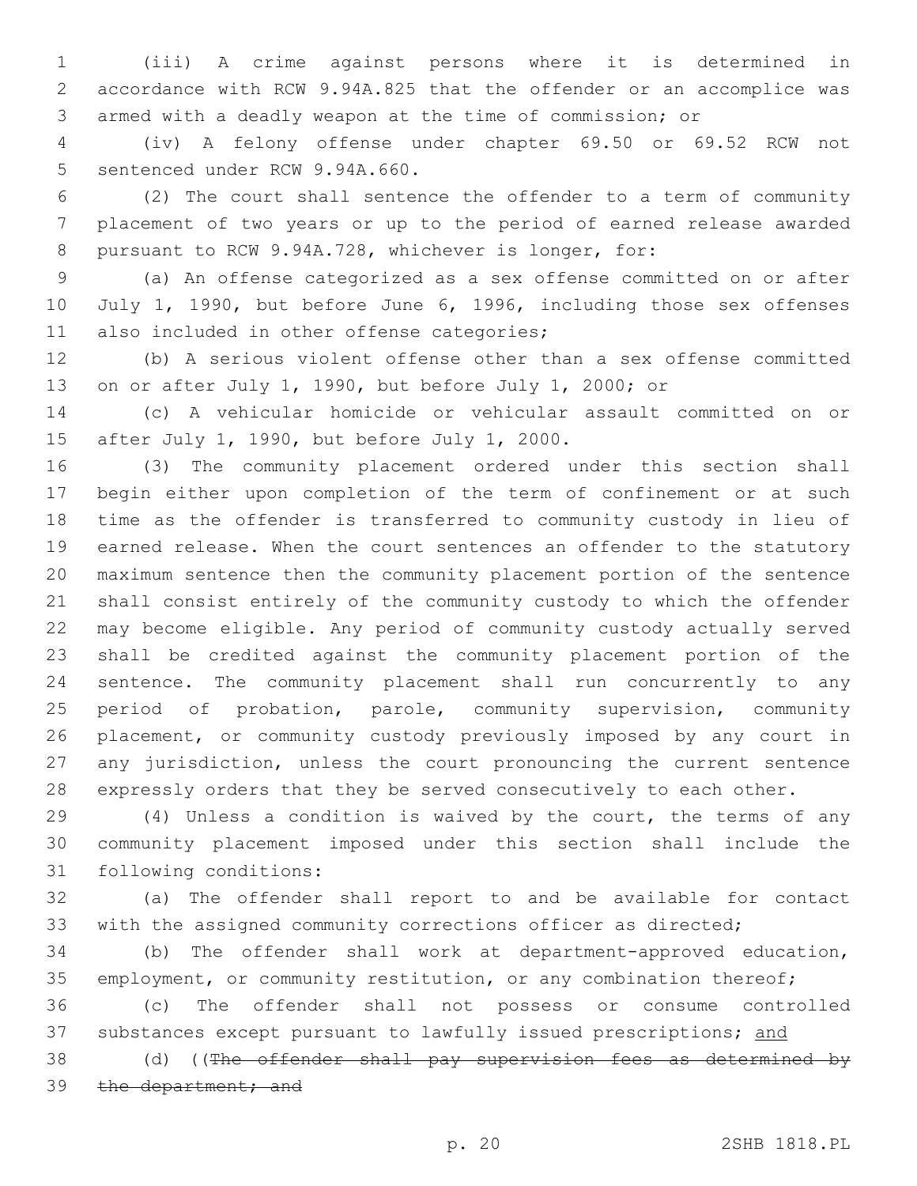(iii) A crime against persons where it is determined in accordance with RCW 9.94A.825 that the offender or an accomplice was armed with a deadly weapon at the time of commission; or

 (iv) A felony offense under chapter 69.50 or 69.52 RCW not 5 sentenced under RCW 9.94A.660.

 (2) The court shall sentence the offender to a term of community placement of two years or up to the period of earned release awarded pursuant to RCW 9.94A.728, whichever is longer, for:

 (a) An offense categorized as a sex offense committed on or after 10 July 1, 1990, but before June 6, 1996, including those sex offenses 11 also included in other offense categories;

 (b) A serious violent offense other than a sex offense committed on or after July 1, 1990, but before July 1, 2000; or

 (c) A vehicular homicide or vehicular assault committed on or 15 after July 1, 1990, but before July 1, 2000.

 (3) The community placement ordered under this section shall begin either upon completion of the term of confinement or at such time as the offender is transferred to community custody in lieu of earned release. When the court sentences an offender to the statutory maximum sentence then the community placement portion of the sentence shall consist entirely of the community custody to which the offender may become eligible. Any period of community custody actually served shall be credited against the community placement portion of the sentence. The community placement shall run concurrently to any period of probation, parole, community supervision, community placement, or community custody previously imposed by any court in any jurisdiction, unless the court pronouncing the current sentence expressly orders that they be served consecutively to each other.

 (4) Unless a condition is waived by the court, the terms of any community placement imposed under this section shall include the 31 following conditions:

 (a) The offender shall report to and be available for contact with the assigned community corrections officer as directed;

 (b) The offender shall work at department-approved education, 35 employment, or community restitution, or any combination thereof;

 (c) The offender shall not possess or consume controlled 37 substances except pursuant to lawfully issued prescriptions; and

38 (d) ((The offender shall pay supervision fees as determined by 39 the department; and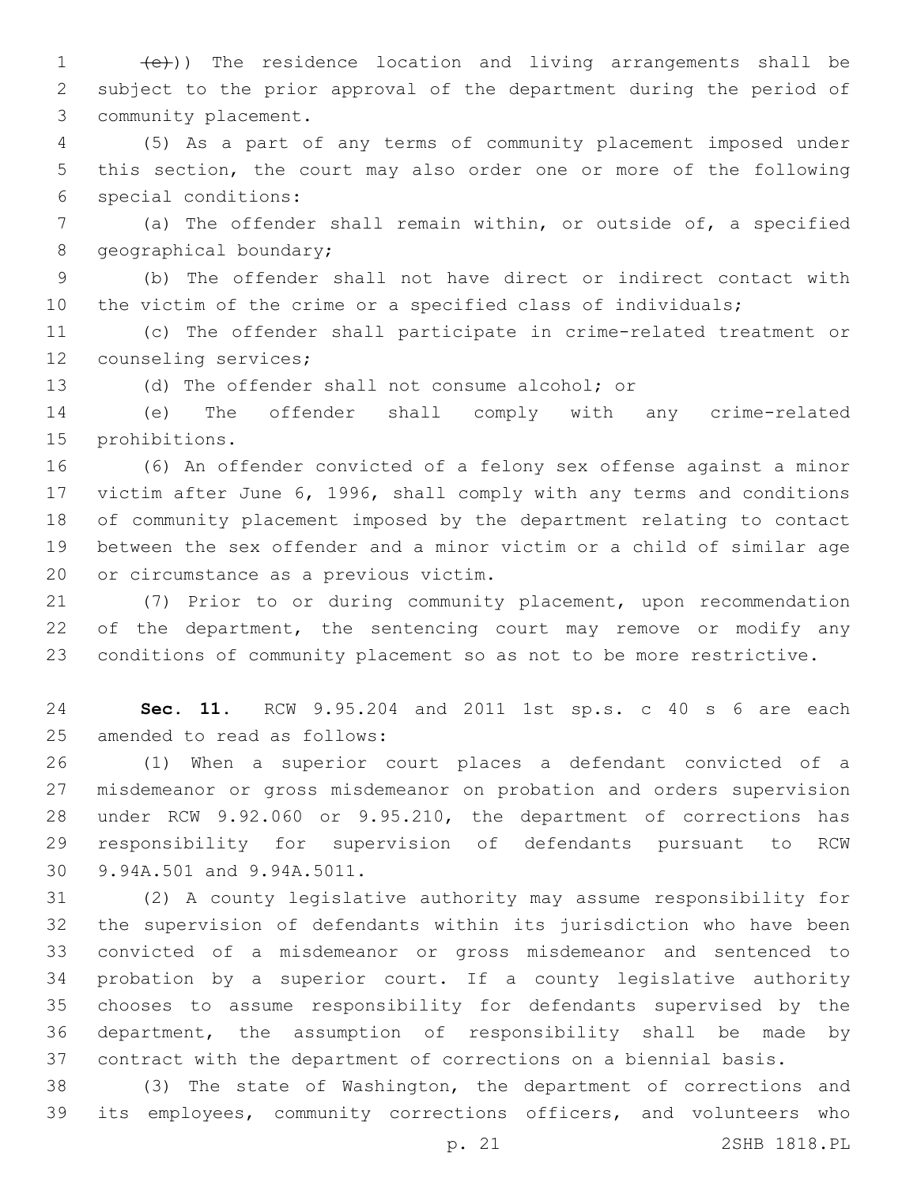1 (e)) The residence location and living arrangements shall be subject to the prior approval of the department during the period of 3 community placement.

 (5) As a part of any terms of community placement imposed under this section, the court may also order one or more of the following special conditions:6

 (a) The offender shall remain within, or outside of, a specified 8 geographical boundary;

 (b) The offender shall not have direct or indirect contact with the victim of the crime or a specified class of individuals;

 (c) The offender shall participate in crime-related treatment or 12 counseling services;

(d) The offender shall not consume alcohol; or

 (e) The offender shall comply with any crime-related 15 prohibitions.

 (6) An offender convicted of a felony sex offense against a minor victim after June 6, 1996, shall comply with any terms and conditions of community placement imposed by the department relating to contact between the sex offender and a minor victim or a child of similar age 20 or circumstance as a previous victim.

 (7) Prior to or during community placement, upon recommendation 22 of the department, the sentencing court may remove or modify any conditions of community placement so as not to be more restrictive.

 **Sec. 11.** RCW 9.95.204 and 2011 1st sp.s. c 40 s 6 are each 25 amended to read as follows:

 (1) When a superior court places a defendant convicted of a misdemeanor or gross misdemeanor on probation and orders supervision under RCW 9.92.060 or 9.95.210, the department of corrections has responsibility for supervision of defendants pursuant to RCW 30 9.94A.501 and 9.94A.5011.

 (2) A county legislative authority may assume responsibility for the supervision of defendants within its jurisdiction who have been convicted of a misdemeanor or gross misdemeanor and sentenced to probation by a superior court. If a county legislative authority chooses to assume responsibility for defendants supervised by the department, the assumption of responsibility shall be made by contract with the department of corrections on a biennial basis.

 (3) The state of Washington, the department of corrections and its employees, community corrections officers, and volunteers who

p. 21 2SHB 1818.PL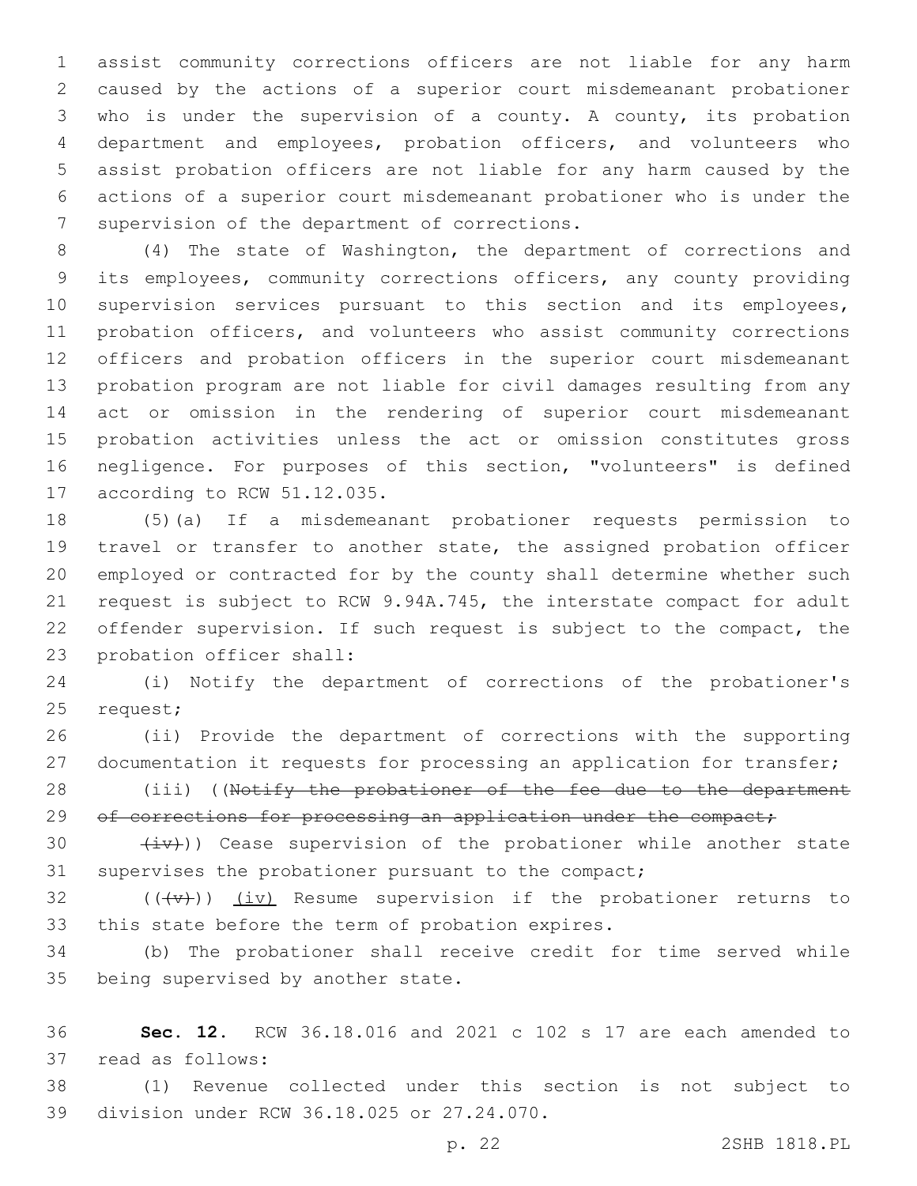assist community corrections officers are not liable for any harm caused by the actions of a superior court misdemeanant probationer who is under the supervision of a county. A county, its probation department and employees, probation officers, and volunteers who assist probation officers are not liable for any harm caused by the actions of a superior court misdemeanant probationer who is under the 7 supervision of the department of corrections.

 (4) The state of Washington, the department of corrections and its employees, community corrections officers, any county providing supervision services pursuant to this section and its employees, probation officers, and volunteers who assist community corrections officers and probation officers in the superior court misdemeanant probation program are not liable for civil damages resulting from any act or omission in the rendering of superior court misdemeanant probation activities unless the act or omission constitutes gross negligence. For purposes of this section, "volunteers" is defined 17 according to RCW 51.12.035.

 (5)(a) If a misdemeanant probationer requests permission to travel or transfer to another state, the assigned probation officer employed or contracted for by the county shall determine whether such request is subject to RCW 9.94A.745, the interstate compact for adult offender supervision. If such request is subject to the compact, the 23 probation officer shall:

 (i) Notify the department of corrections of the probationer's 25 request;

 (ii) Provide the department of corrections with the supporting documentation it requests for processing an application for transfer;

28 (iii) ((Notify the probationer of the fee due to the department 29 of corrections for processing an application under the compact;

30  $(iv)$ ) Cease supervision of the probationer while another state supervises the probationer pursuant to the compact;

32  $((+\nu)^2)$   $(i\nu)$  Resume supervision if the probationer returns to 33 this state before the term of probation expires.

 (b) The probationer shall receive credit for time served while 35 being supervised by another state.

 **Sec. 12.** RCW 36.18.016 and 2021 c 102 s 17 are each amended to 37 read as follows:

 (1) Revenue collected under this section is not subject to 39 division under RCW 36.18.025 or 27.24.070.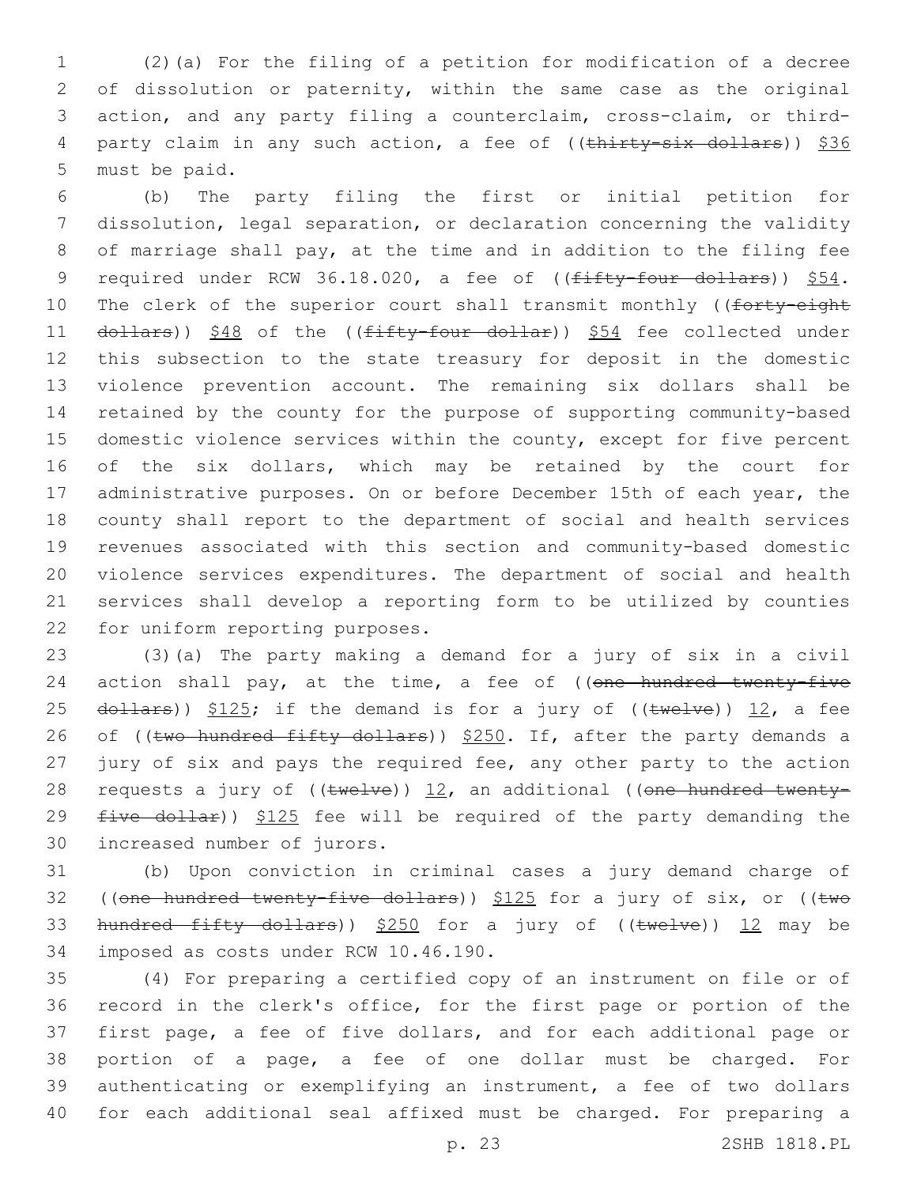1 (2)(a) For the filing of a petition for modification of a decree 2 of dissolution or paternity, within the same case as the original 3 action, and any party filing a counterclaim, cross-claim, or third-4 party claim in any such action, a fee of ((thirty-six dollars)) \$36 5 must be paid.

 (b) The party filing the first or initial petition for dissolution, legal separation, or declaration concerning the validity of marriage shall pay, at the time and in addition to the filing fee 9 required under RCW 36.18.020, a fee of ((fifty-four dollars)) \$54. 10 The clerk of the superior court shall transmit monthly ((forty-eight 11 dollars)) \$48 of the ((fifty-four dollar)) \$54 fee collected under this subsection to the state treasury for deposit in the domestic violence prevention account. The remaining six dollars shall be retained by the county for the purpose of supporting community-based domestic violence services within the county, except for five percent of the six dollars, which may be retained by the court for 17 administrative purposes. On or before December 15th of each year, the county shall report to the department of social and health services revenues associated with this section and community-based domestic violence services expenditures. The department of social and health services shall develop a reporting form to be utilized by counties 22 for uniform reporting purposes.

23 (3)(a) The party making a demand for a jury of six in a civil 24 action shall pay, at the time, a fee of ((one hundred twenty-five 25  $d$ ollars))  $$125;$  if the demand is for a jury of (( $t$ welve)) 12, a fee 26 of ((two hundred fifty dollars)) \$250. If, after the party demands a 27 jury of six and pays the required fee, any other party to the action 28 requests a jury of  $((\text{twelve}))$  12, an additional ((one hundred twenty-29  $five$  dollar))  $$125$  fee will be required of the party demanding the 30 increased number of jurors.

31 (b) Upon conviction in criminal cases a jury demand charge of 32 ((one hundred twenty-five dollars)) \$125 for a jury of six, or ((two 33 hundred fifty dollars)) \$250 for a jury of ((twelve)) 12 may be 34 imposed as costs under RCW 10.46.190.

 (4) For preparing a certified copy of an instrument on file or of record in the clerk's office, for the first page or portion of the first page, a fee of five dollars, and for each additional page or portion of a page, a fee of one dollar must be charged. For authenticating or exemplifying an instrument, a fee of two dollars for each additional seal affixed must be charged. For preparing a

p. 23 2SHB 1818.PL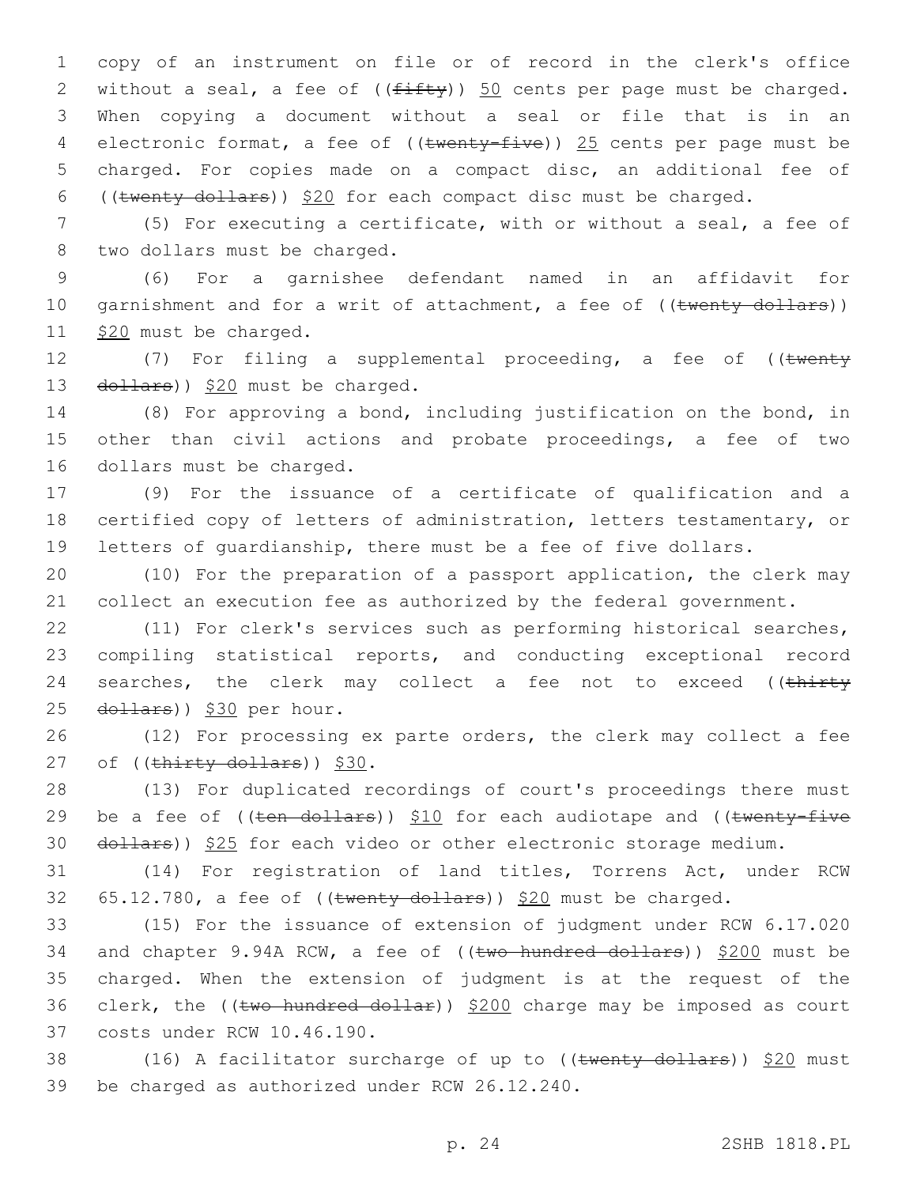copy of an instrument on file or of record in the clerk's office 2 without a seal, a fee of  $((f\text{iff}y))$  50 cents per page must be charged. When copying a document without a seal or file that is in an 4 electronic format, a fee of ((twenty-five)) 25 cents per page must be charged. For copies made on a compact disc, an additional fee of ((twenty dollars)) \$20 for each compact disc must be charged.

7 (5) For executing a certificate, with or without a seal, a fee of 8 two dollars must be charged.

9 (6) For a garnishee defendant named in an affidavit for 10 garnishment and for a writ of attachment, a fee of ((twenty dollars)) 11 \$20 must be charged.

12 (7) For filing a supplemental proceeding, a fee of ((twenty 13  $\left(\frac{d^2}{2} + \frac{d^2}{2} + \frac{d^2}{2}\right)$  and the charged.

14 (8) For approving a bond, including justification on the bond, in 15 other than civil actions and probate proceedings, a fee of two 16 dollars must be charged.

17 (9) For the issuance of a certificate of qualification and a 18 certified copy of letters of administration, letters testamentary, or 19 letters of guardianship, there must be a fee of five dollars.

20 (10) For the preparation of a passport application, the clerk may 21 collect an execution fee as authorized by the federal government.

22 (11) For clerk's services such as performing historical searches, 23 compiling statistical reports, and conducting exceptional record 24 searches, the clerk may collect a fee not to exceed ((thirty 25 dollars)) \$30 per hour.

26 (12) For processing ex parte orders, the clerk may collect a fee 27 of  $((\text{thirty dollars}))$  \$30.

28 (13) For duplicated recordings of court's proceedings there must 29 be a fee of  $((\text{ten}-\text{dollars}))$  \$10 for each audiotape and  $((\text{twenty-five}-\text{fivex}))$ 30 dollars)) \$25 for each video or other electronic storage medium.

31 (14) For registration of land titles, Torrens Act, under RCW 32  $65.12.780$ , a fee of ((twenty dollars)) \$20 must be charged.

33 (15) For the issuance of extension of judgment under RCW 6.17.020 34 and chapter 9.94A RCW, a fee of ((two hundred dollars)) \$200 must be 35 charged. When the extension of judgment is at the request of the 36 clerk, the (( $t$ wo hundred dollar))  $$200$  charge may be imposed as court 37 costs under RCW 10.46.190.

38 (16) A facilitator surcharge of up to ((twenty dollars)) \$20 must 39 be charged as authorized under RCW 26.12.240.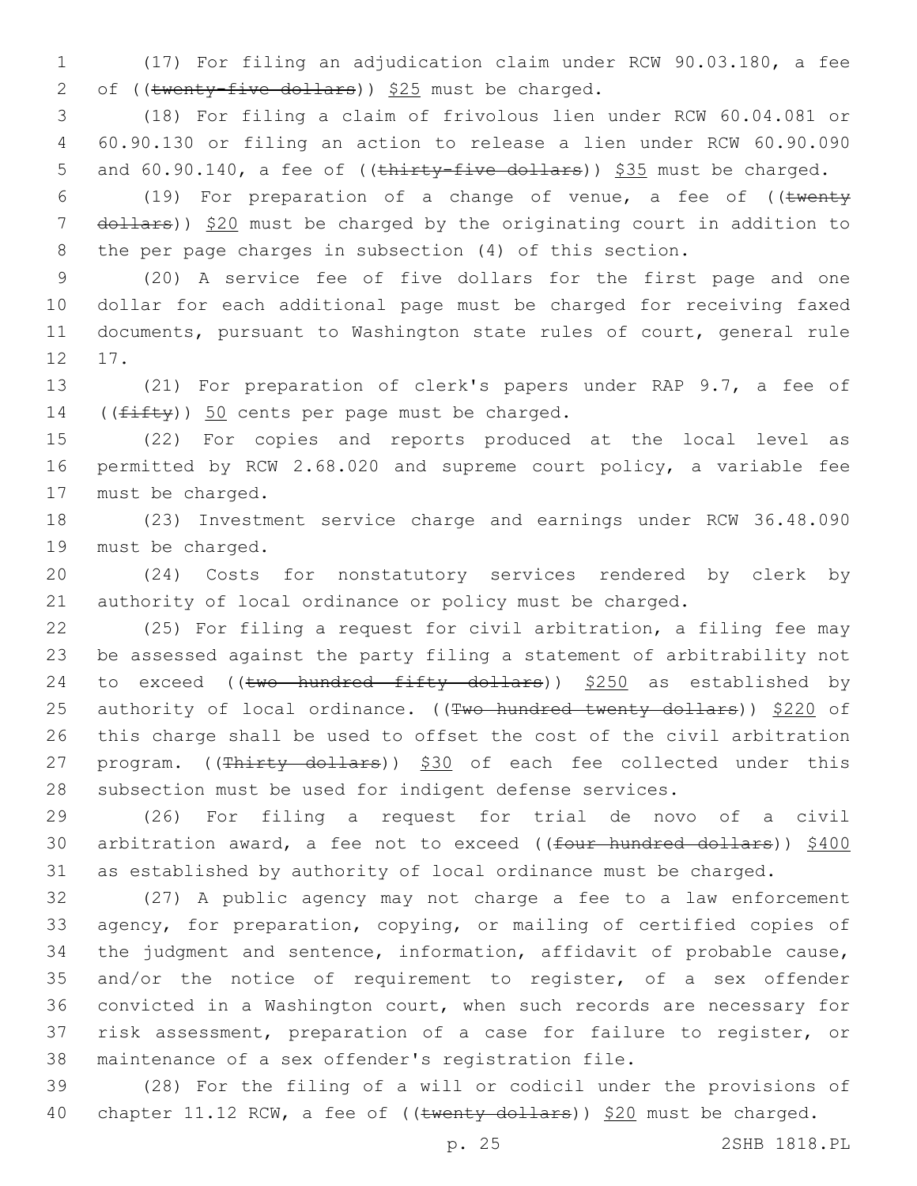(17) For filing an adjudication claim under RCW 90.03.180, a fee 2 of (( $\text{twenty-five dollars}$ ))  $$25$  must be charged.

 (18) For filing a claim of frivolous lien under RCW 60.04.081 or 60.90.130 or filing an action to release a lien under RCW 60.90.090 5 and 60.90.140, a fee of ((thirty-five dollars)) \$35 must be charged.

6 (19) For preparation of a change of venue, a fee of  $($  (twenty 7 dollars)) \$20 must be charged by the originating court in addition to the per page charges in subsection (4) of this section.

 (20) A service fee of five dollars for the first page and one dollar for each additional page must be charged for receiving faxed documents, pursuant to Washington state rules of court, general rule 12 17.

 (21) For preparation of clerk's papers under RAP 9.7, a fee of 14  $((f\text{ifty}))$  50 cents per page must be charged.

 (22) For copies and reports produced at the local level as permitted by RCW 2.68.020 and supreme court policy, a variable fee 17 must be charged.

 (23) Investment service charge and earnings under RCW 36.48.090 19 must be charged.

 (24) Costs for nonstatutory services rendered by clerk by authority of local ordinance or policy must be charged.

 (25) For filing a request for civil arbitration, a filing fee may be assessed against the party filing a statement of arbitrability not 24 to exceed (( $t$ wo hundred fifty dollars))  $$250$  as established by 25 authority of local ordinance. ((Two hundred twenty dollars)) \$220 of this charge shall be used to offset the cost of the civil arbitration 27 program. ((Thirty dollars)) \$30 of each fee collected under this subsection must be used for indigent defense services.

 (26) For filing a request for trial de novo of a civil 30 arbitration award, a fee not to exceed ((four hundred dollars)) \$400 as established by authority of local ordinance must be charged.

 (27) A public agency may not charge a fee to a law enforcement agency, for preparation, copying, or mailing of certified copies of the judgment and sentence, information, affidavit of probable cause, and/or the notice of requirement to register, of a sex offender convicted in a Washington court, when such records are necessary for risk assessment, preparation of a case for failure to register, or maintenance of a sex offender's registration file.

 (28) For the filing of a will or codicil under the provisions of 40 chapter 11.12 RCW, a fee of ((twenty dollars)) \$20 must be charged.

p. 25 2SHB 1818.PL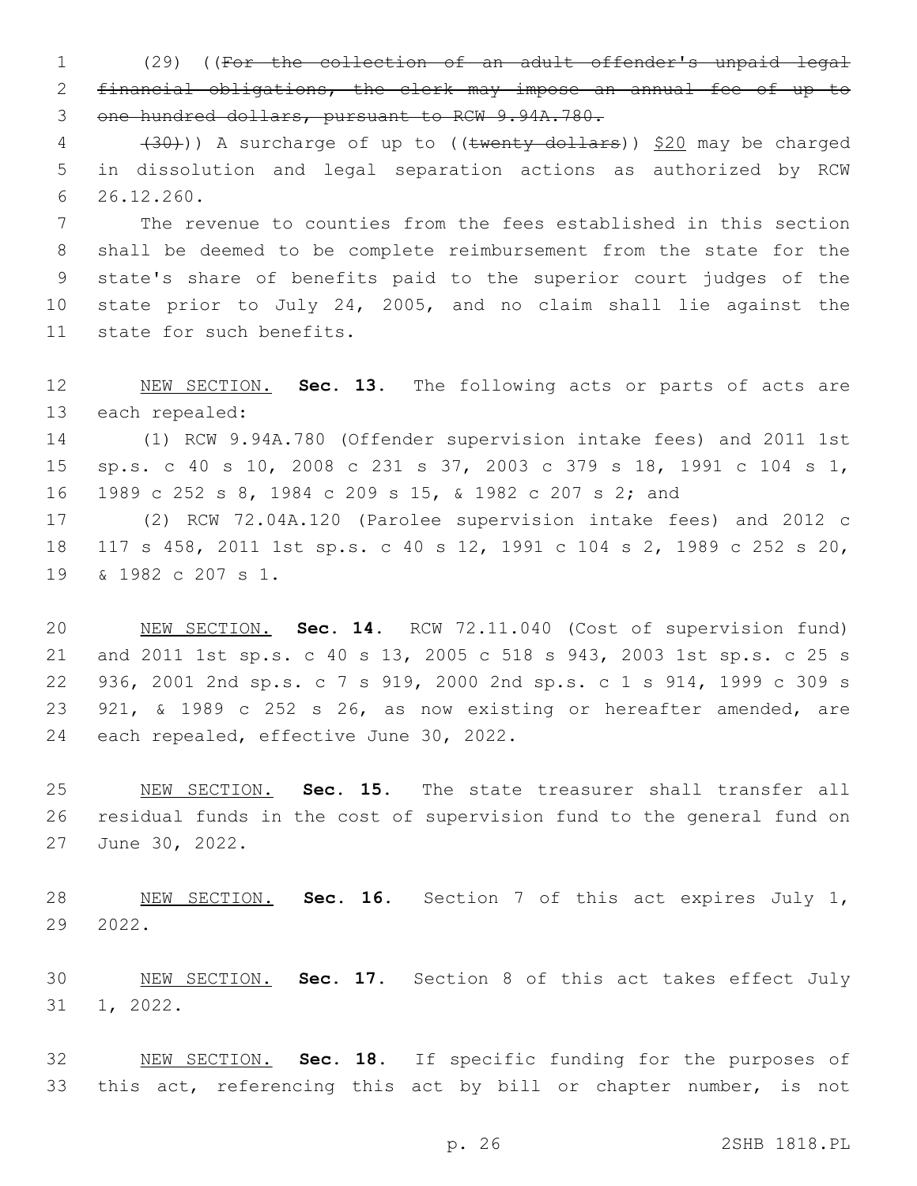(29) ((For the collection of an adult offender's unpaid legal financial obligations, the clerk may impose an annual fee of up to one hundred dollars, pursuant to RCW 9.94A.780.

 $(30)$ ) A surcharge of up to ((twenty dollars)) \$20 may be charged in dissolution and legal separation actions as authorized by RCW 26.12.260.6

 The revenue to counties from the fees established in this section shall be deemed to be complete reimbursement from the state for the state's share of benefits paid to the superior court judges of the state prior to July 24, 2005, and no claim shall lie against the 11 state for such benefits.

 NEW SECTION. **Sec. 13.** The following acts or parts of acts are each repealed:

 (1) RCW 9.94A.780 (Offender supervision intake fees) and 2011 1st sp.s. c 40 s 10, 2008 c 231 s 37, 2003 c 379 s 18, 1991 c 104 s 1, 1989 c 252 s 8, 1984 c 209 s 15, & 1982 c 207 s 2; and

 (2) RCW 72.04A.120 (Parolee supervision intake fees) and 2012 c 117 s 458, 2011 1st sp.s. c 40 s 12, 1991 c 104 s 2, 1989 c 252 s 20, 19 & 1982 c 207 s 1.

 NEW SECTION. **Sec. 14.** RCW 72.11.040 (Cost of supervision fund) and 2011 1st sp.s. c 40 s 13, 2005 c 518 s 943, 2003 1st sp.s. c 25 s 936, 2001 2nd sp.s. c 7 s 919, 2000 2nd sp.s. c 1 s 914, 1999 c 309 s 921, & 1989 c 252 s 26, as now existing or hereafter amended, are each repealed, effective June 30, 2022.

 NEW SECTION. **Sec. 15.** The state treasurer shall transfer all residual funds in the cost of supervision fund to the general fund on June 30, 2022.

 NEW SECTION. **Sec. 16.** Section 7 of this act expires July 1, 2022.

 NEW SECTION. **Sec. 17.** Section 8 of this act takes effect July 1, 2022.

 NEW SECTION. **Sec. 18.** If specific funding for the purposes of this act, referencing this act by bill or chapter number, is not

p. 26 2SHB 1818.PL